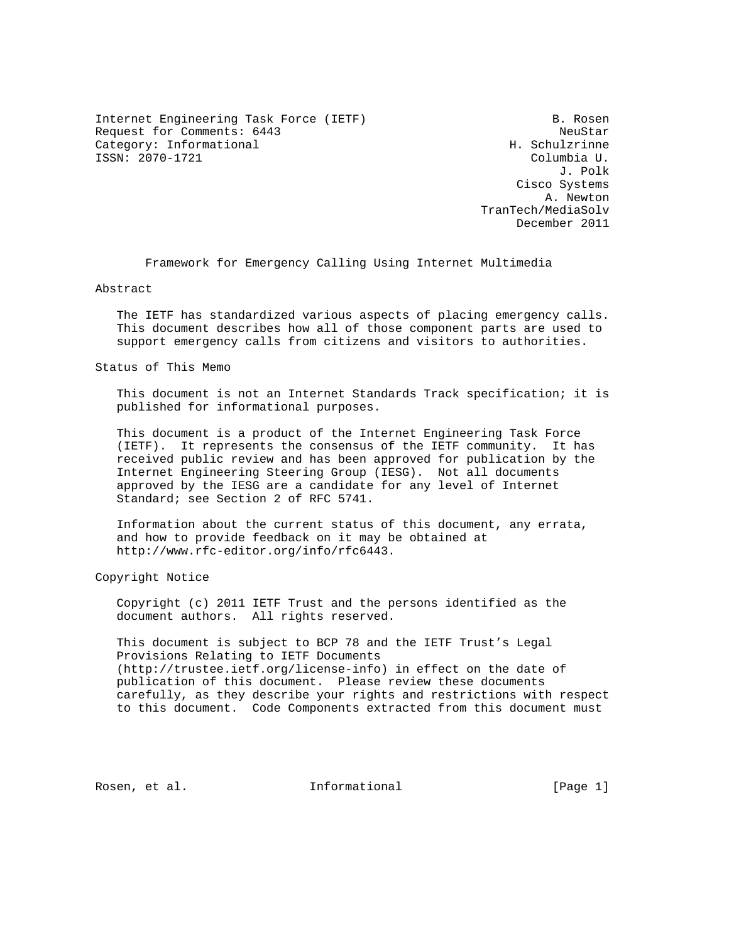Internet Engineering Task Force (IETF) B. Rosen Request for Comments: 6443 NeuStar Request for Comments: 6443 Category: Informational ISSN: 2070-1721 Columbia U.

 J. Polk Cisco Systems A. Newton TranTech/MediaSolv December 2011

Framework for Emergency Calling Using Internet Multimedia

Abstract

 The IETF has standardized various aspects of placing emergency calls. This document describes how all of those component parts are used to support emergency calls from citizens and visitors to authorities.

Status of This Memo

 This document is not an Internet Standards Track specification; it is published for informational purposes.

 This document is a product of the Internet Engineering Task Force (IETF). It represents the consensus of the IETF community. It has received public review and has been approved for publication by the Internet Engineering Steering Group (IESG). Not all documents approved by the IESG are a candidate for any level of Internet Standard; see Section 2 of RFC 5741.

 Information about the current status of this document, any errata, and how to provide feedback on it may be obtained at http://www.rfc-editor.org/info/rfc6443.

Copyright Notice

 Copyright (c) 2011 IETF Trust and the persons identified as the document authors. All rights reserved.

 This document is subject to BCP 78 and the IETF Trust's Legal Provisions Relating to IETF Documents (http://trustee.ietf.org/license-info) in effect on the date of publication of this document. Please review these documents carefully, as they describe your rights and restrictions with respect to this document. Code Components extracted from this document must

Rosen, et al.  $\qquad \qquad$  Informational  $\qquad \qquad$  [Page 1]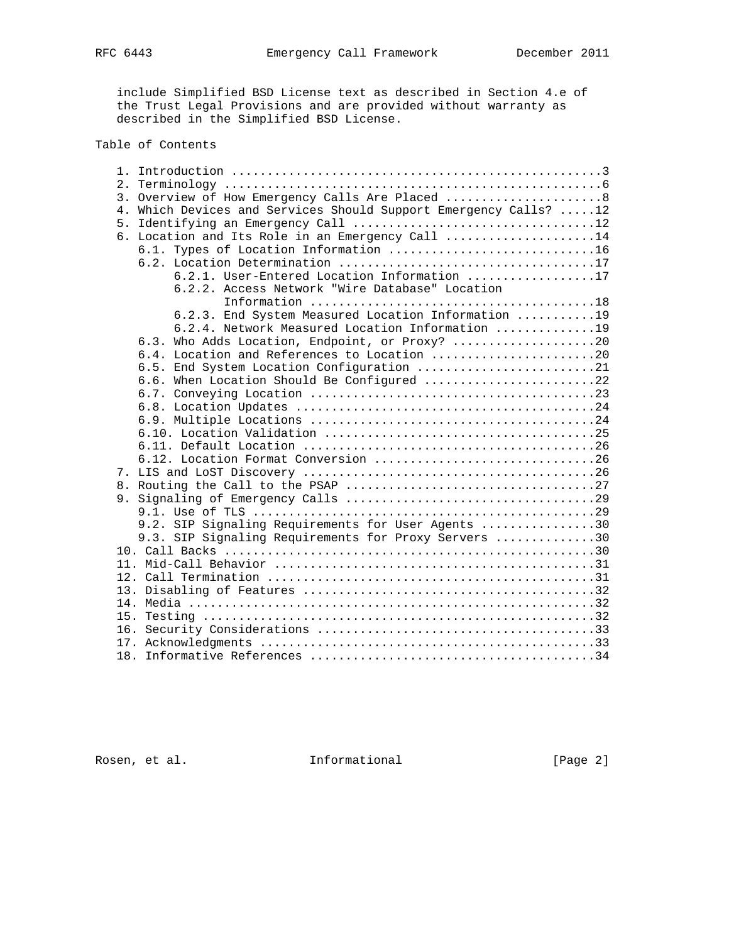include Simplified BSD License text as described in Section 4.e of the Trust Legal Provisions and are provided without warranty as described in the Simplified BSD License.

# Table of Contents

|    | 3. Overview of How Emergency Calls Are Placed  8                 |
|----|------------------------------------------------------------------|
|    | 4. Which Devices and Services Should Support Emergency Calls? 12 |
| 5. |                                                                  |
|    | 6. Location and Its Role in an Emergency Call 14                 |
|    | 6.1. Types of Location Information 16                            |
|    |                                                                  |
|    | 6.2.1. User-Entered Location Information 17                      |
|    | 6.2.2. Access Network "Wire Database" Location                   |
|    |                                                                  |
|    | 6.2.3. End System Measured Location Information 19               |
|    | 6.2.4. Network Measured Location Information 19                  |
|    | 6.3. Who Adds Location, Endpoint, or Proxy? 20                   |
|    | 6.4. Location and References to Location 20                      |
|    | 6.5. End System Location Configuration 21                        |
|    | 6.6. When Location Should Be Configured 22                       |
|    |                                                                  |
|    |                                                                  |
|    |                                                                  |
|    |                                                                  |
|    |                                                                  |
|    | 6.12. Location Format Conversion 26                              |
|    |                                                                  |
|    |                                                                  |
|    |                                                                  |
|    |                                                                  |
|    | 9.2. SIP Signaling Requirements for User Agents 30               |
|    | 9.3. SIP Signaling Requirements for Proxy Servers 30             |
|    |                                                                  |
|    |                                                                  |
|    |                                                                  |
|    |                                                                  |
|    |                                                                  |
|    |                                                                  |
|    |                                                                  |
|    |                                                                  |
|    |                                                                  |
|    |                                                                  |

Rosen, et al. 1nformational [Page 2]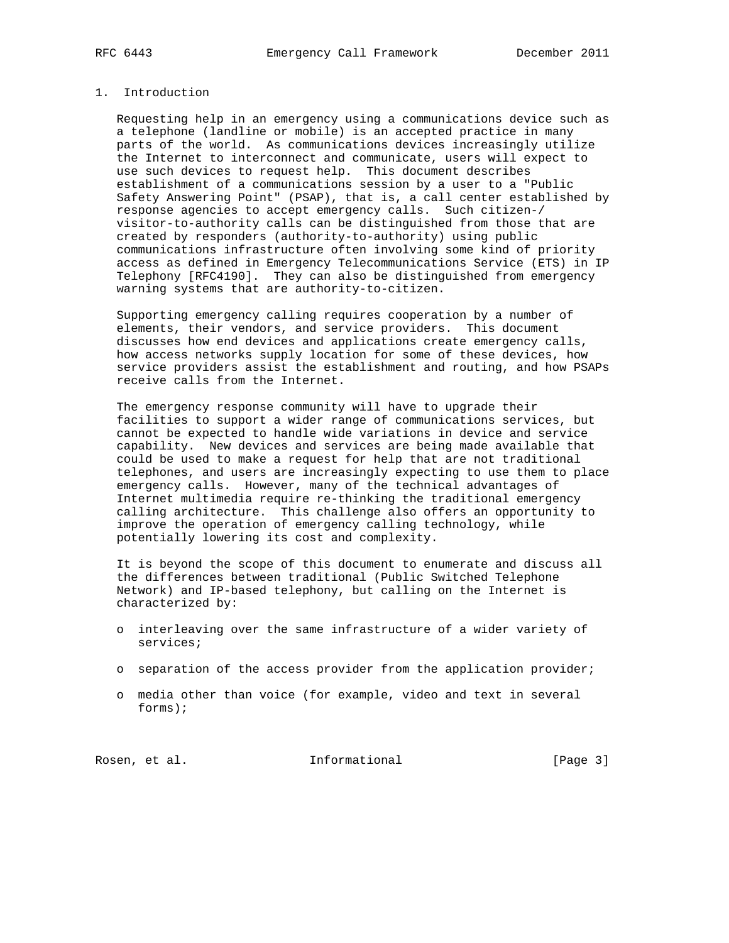# 1. Introduction

 Requesting help in an emergency using a communications device such as a telephone (landline or mobile) is an accepted practice in many parts of the world. As communications devices increasingly utilize the Internet to interconnect and communicate, users will expect to use such devices to request help. This document describes establishment of a communications session by a user to a "Public Safety Answering Point" (PSAP), that is, a call center established by response agencies to accept emergency calls. Such citizen-/ visitor-to-authority calls can be distinguished from those that are created by responders (authority-to-authority) using public communications infrastructure often involving some kind of priority access as defined in Emergency Telecommunications Service (ETS) in IP Telephony [RFC4190]. They can also be distinguished from emergency warning systems that are authority-to-citizen.

 Supporting emergency calling requires cooperation by a number of elements, their vendors, and service providers. This document discusses how end devices and applications create emergency calls, how access networks supply location for some of these devices, how service providers assist the establishment and routing, and how PSAPs receive calls from the Internet.

 The emergency response community will have to upgrade their facilities to support a wider range of communications services, but cannot be expected to handle wide variations in device and service capability. New devices and services are being made available that could be used to make a request for help that are not traditional telephones, and users are increasingly expecting to use them to place emergency calls. However, many of the technical advantages of Internet multimedia require re-thinking the traditional emergency calling architecture. This challenge also offers an opportunity to improve the operation of emergency calling technology, while potentially lowering its cost and complexity.

 It is beyond the scope of this document to enumerate and discuss all the differences between traditional (Public Switched Telephone Network) and IP-based telephony, but calling on the Internet is characterized by:

- o interleaving over the same infrastructure of a wider variety of services;
- o separation of the access provider from the application provider;
- o media other than voice (for example, video and text in several forms);

Rosen, et al. 10 methormational 100 methormational [Page 3]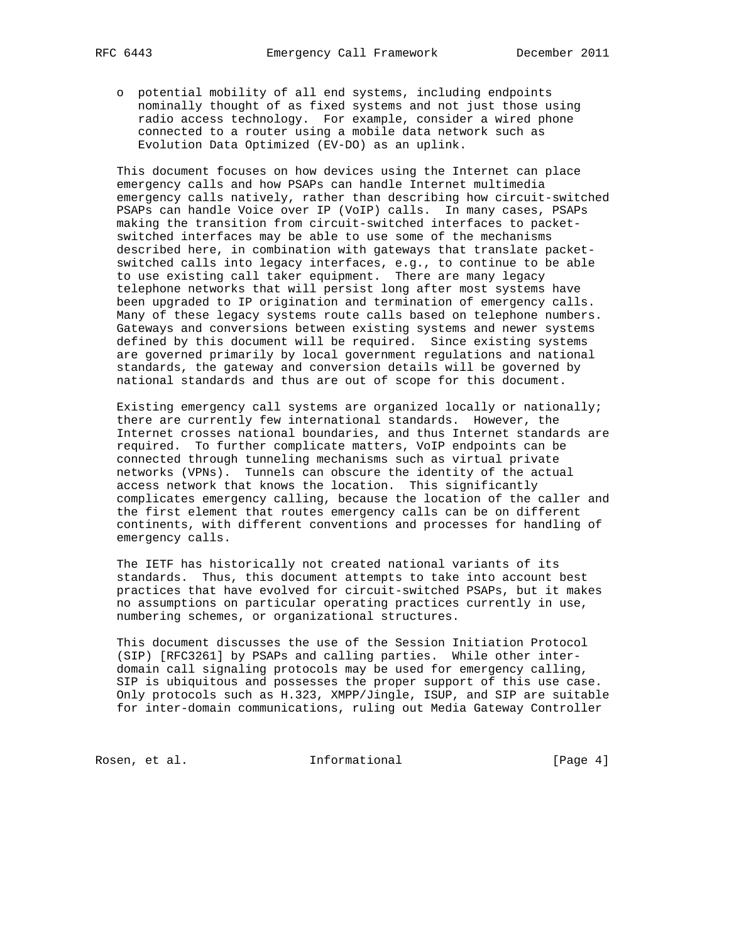o potential mobility of all end systems, including endpoints nominally thought of as fixed systems and not just those using radio access technology. For example, consider a wired phone connected to a router using a mobile data network such as Evolution Data Optimized (EV-DO) as an uplink.

 This document focuses on how devices using the Internet can place emergency calls and how PSAPs can handle Internet multimedia emergency calls natively, rather than describing how circuit-switched PSAPs can handle Voice over IP (VoIP) calls. In many cases, PSAPs making the transition from circuit-switched interfaces to packet switched interfaces may be able to use some of the mechanisms described here, in combination with gateways that translate packet switched calls into legacy interfaces, e.g., to continue to be able to use existing call taker equipment. There are many legacy telephone networks that will persist long after most systems have been upgraded to IP origination and termination of emergency calls. Many of these legacy systems route calls based on telephone numbers. Gateways and conversions between existing systems and newer systems defined by this document will be required. Since existing systems are governed primarily by local government regulations and national standards, the gateway and conversion details will be governed by national standards and thus are out of scope for this document.

 Existing emergency call systems are organized locally or nationally; there are currently few international standards. However, the Internet crosses national boundaries, and thus Internet standards are required. To further complicate matters, VoIP endpoints can be connected through tunneling mechanisms such as virtual private networks (VPNs). Tunnels can obscure the identity of the actual access network that knows the location. This significantly complicates emergency calling, because the location of the caller and the first element that routes emergency calls can be on different continents, with different conventions and processes for handling of emergency calls.

 The IETF has historically not created national variants of its standards. Thus, this document attempts to take into account best practices that have evolved for circuit-switched PSAPs, but it makes no assumptions on particular operating practices currently in use, numbering schemes, or organizational structures.

 This document discusses the use of the Session Initiation Protocol (SIP) [RFC3261] by PSAPs and calling parties. While other inter domain call signaling protocols may be used for emergency calling, SIP is ubiquitous and possesses the proper support of this use case. Only protocols such as H.323, XMPP/Jingle, ISUP, and SIP are suitable for inter-domain communications, ruling out Media Gateway Controller

Rosen, et al. 1nformational 1999 [Page 4]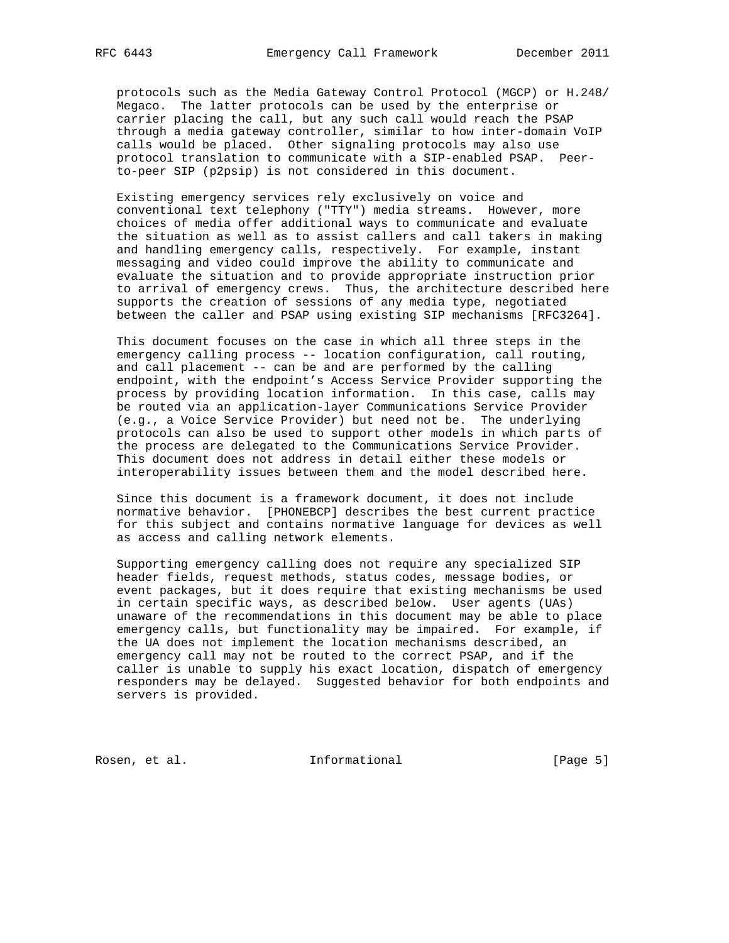protocols such as the Media Gateway Control Protocol (MGCP) or H.248/ Megaco. The latter protocols can be used by the enterprise or carrier placing the call, but any such call would reach the PSAP through a media gateway controller, similar to how inter-domain VoIP calls would be placed. Other signaling protocols may also use protocol translation to communicate with a SIP-enabled PSAP. Peer to-peer SIP (p2psip) is not considered in this document.

 Existing emergency services rely exclusively on voice and conventional text telephony ("TTY") media streams. However, more choices of media offer additional ways to communicate and evaluate the situation as well as to assist callers and call takers in making and handling emergency calls, respectively. For example, instant messaging and video could improve the ability to communicate and evaluate the situation and to provide appropriate instruction prior to arrival of emergency crews. Thus, the architecture described here supports the creation of sessions of any media type, negotiated between the caller and PSAP using existing SIP mechanisms [RFC3264].

 This document focuses on the case in which all three steps in the emergency calling process -- location configuration, call routing, and call placement -- can be and are performed by the calling endpoint, with the endpoint's Access Service Provider supporting the process by providing location information. In this case, calls may be routed via an application-layer Communications Service Provider (e.g., a Voice Service Provider) but need not be. The underlying protocols can also be used to support other models in which parts of the process are delegated to the Communications Service Provider. This document does not address in detail either these models or interoperability issues between them and the model described here.

 Since this document is a framework document, it does not include normative behavior. [PHONEBCP] describes the best current practice for this subject and contains normative language for devices as well as access and calling network elements.

 Supporting emergency calling does not require any specialized SIP header fields, request methods, status codes, message bodies, or event packages, but it does require that existing mechanisms be used in certain specific ways, as described below. User agents (UAs) unaware of the recommendations in this document may be able to place emergency calls, but functionality may be impaired. For example, if the UA does not implement the location mechanisms described, an emergency call may not be routed to the correct PSAP, and if the caller is unable to supply his exact location, dispatch of emergency responders may be delayed. Suggested behavior for both endpoints and servers is provided.

Rosen, et al. 100 mm and 111 mm and 111 mm and 12 mm and 12 mm and 12 mm and 12 mm and 12 mm and 12 mm and 12 mm and 12 mm and 12 mm and 12 mm and 12 mm and 12 mm and 12 mm and 12 mm and 12 mm and 12 mm and 12 mm and 12 mm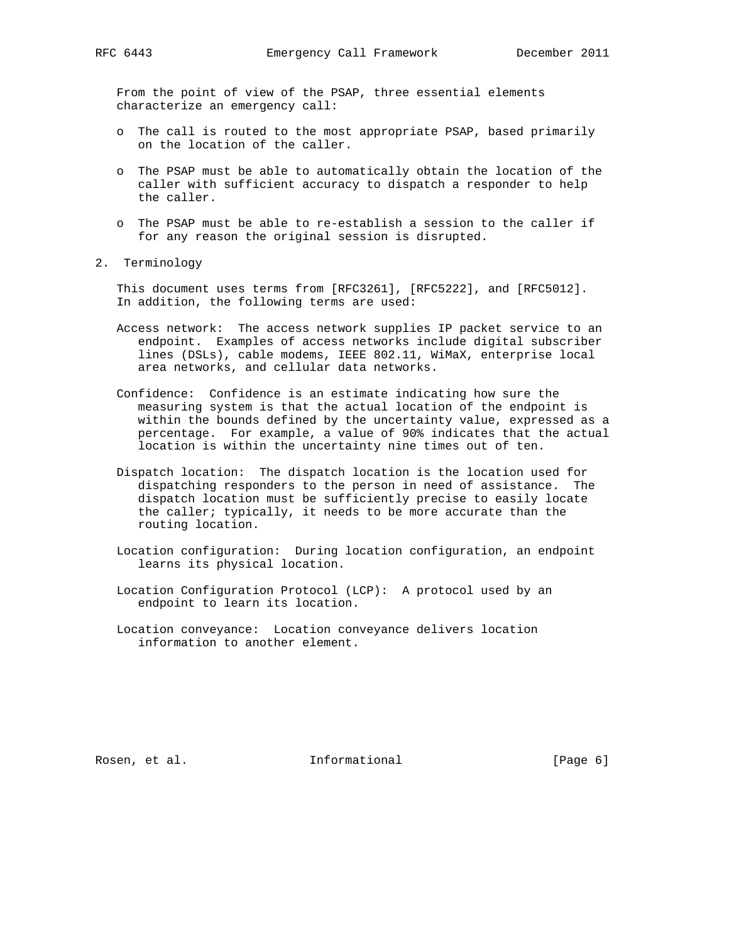From the point of view of the PSAP, three essential elements characterize an emergency call:

- o The call is routed to the most appropriate PSAP, based primarily on the location of the caller.
- o The PSAP must be able to automatically obtain the location of the caller with sufficient accuracy to dispatch a responder to help the caller.
- o The PSAP must be able to re-establish a session to the caller if for any reason the original session is disrupted.
- 2. Terminology

 This document uses terms from [RFC3261], [RFC5222], and [RFC5012]. In addition, the following terms are used:

- Access network: The access network supplies IP packet service to an endpoint. Examples of access networks include digital subscriber lines (DSLs), cable modems, IEEE 802.11, WiMaX, enterprise local area networks, and cellular data networks.
- Confidence: Confidence is an estimate indicating how sure the measuring system is that the actual location of the endpoint is within the bounds defined by the uncertainty value, expressed as a percentage. For example, a value of 90% indicates that the actual location is within the uncertainty nine times out of ten.
- Dispatch location: The dispatch location is the location used for dispatching responders to the person in need of assistance. The dispatch location must be sufficiently precise to easily locate the caller; typically, it needs to be more accurate than the routing location.
- Location configuration: During location configuration, an endpoint learns its physical location.
- Location Configuration Protocol (LCP): A protocol used by an endpoint to learn its location.
- Location conveyance: Location conveyance delivers location information to another element.

Rosen, et al. 100 mm informational 100 mm informational [Page 6]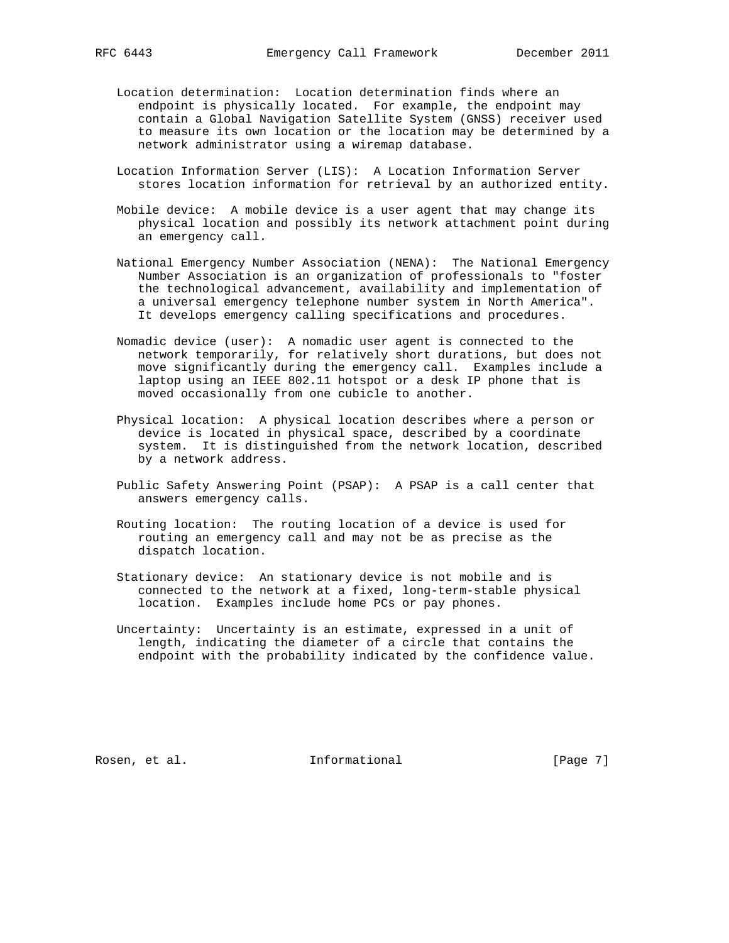- Location determination: Location determination finds where an endpoint is physically located. For example, the endpoint may contain a Global Navigation Satellite System (GNSS) receiver used to measure its own location or the location may be determined by a network administrator using a wiremap database.
- Location Information Server (LIS): A Location Information Server stores location information for retrieval by an authorized entity.
- Mobile device: A mobile device is a user agent that may change its physical location and possibly its network attachment point during an emergency call.
- National Emergency Number Association (NENA): The National Emergency Number Association is an organization of professionals to "foster the technological advancement, availability and implementation of a universal emergency telephone number system in North America". It develops emergency calling specifications and procedures.
- Nomadic device (user): A nomadic user agent is connected to the network temporarily, for relatively short durations, but does not move significantly during the emergency call. Examples include a laptop using an IEEE 802.11 hotspot or a desk IP phone that is moved occasionally from one cubicle to another.
- Physical location: A physical location describes where a person or device is located in physical space, described by a coordinate system. It is distinguished from the network location, described by a network address.
- Public Safety Answering Point (PSAP): A PSAP is a call center that answers emergency calls.
- Routing location: The routing location of a device is used for routing an emergency call and may not be as precise as the dispatch location.
- Stationary device: An stationary device is not mobile and is connected to the network at a fixed, long-term-stable physical location. Examples include home PCs or pay phones.
- Uncertainty: Uncertainty is an estimate, expressed in a unit of length, indicating the diameter of a circle that contains the endpoint with the probability indicated by the confidence value.

Rosen, et al. 100 mm informational 100 mm informational [Page 7]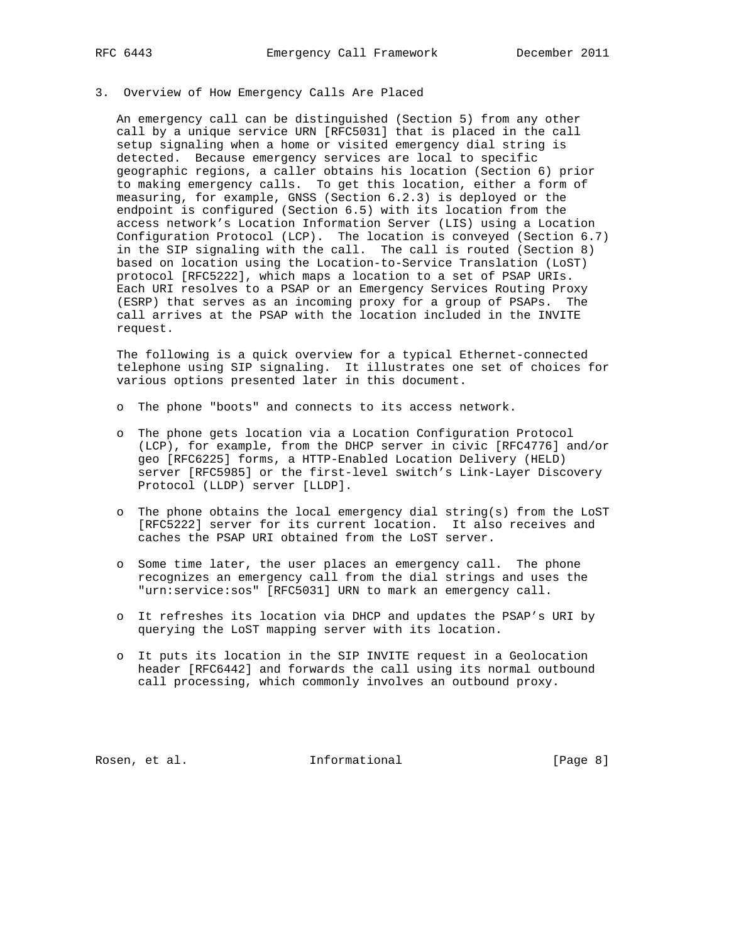# 3. Overview of How Emergency Calls Are Placed

 An emergency call can be distinguished (Section 5) from any other call by a unique service URN [RFC5031] that is placed in the call setup signaling when a home or visited emergency dial string is detected. Because emergency services are local to specific geographic regions, a caller obtains his location (Section 6) prior to making emergency calls. To get this location, either a form of measuring, for example, GNSS (Section 6.2.3) is deployed or the endpoint is configured (Section 6.5) with its location from the access network's Location Information Server (LIS) using a Location Configuration Protocol (LCP). The location is conveyed (Section 6.7) in the SIP signaling with the call. The call is routed (Section 8) based on location using the Location-to-Service Translation (LoST) protocol [RFC5222], which maps a location to a set of PSAP URIs. Each URI resolves to a PSAP or an Emergency Services Routing Proxy (ESRP) that serves as an incoming proxy for a group of PSAPs. The call arrives at the PSAP with the location included in the INVITE request.

 The following is a quick overview for a typical Ethernet-connected telephone using SIP signaling. It illustrates one set of choices for various options presented later in this document.

- o The phone "boots" and connects to its access network.
- o The phone gets location via a Location Configuration Protocol (LCP), for example, from the DHCP server in civic [RFC4776] and/or geo [RFC6225] forms, a HTTP-Enabled Location Delivery (HELD) server [RFC5985] or the first-level switch's Link-Layer Discovery Protocol (LLDP) server [LLDP].
- o The phone obtains the local emergency dial string(s) from the LoST [RFC5222] server for its current location. It also receives and caches the PSAP URI obtained from the LoST server.
- o Some time later, the user places an emergency call. The phone recognizes an emergency call from the dial strings and uses the "urn:service:sos" [RFC5031] URN to mark an emergency call.
- o It refreshes its location via DHCP and updates the PSAP's URI by querying the LoST mapping server with its location.
- o It puts its location in the SIP INVITE request in a Geolocation header [RFC6442] and forwards the call using its normal outbound call processing, which commonly involves an outbound proxy.

Rosen, et al. 100 mm and 111 mm and 111 mm and 12 mm and 12 mm and 12 mm and 12 mm and 12 mm and 12 mm and 12 mm and 12 mm and 12 mm and 12 mm and 12 mm and 12 mm and 12 mm and 12 mm and 12 mm and 12 mm and 12 mm and 12 mm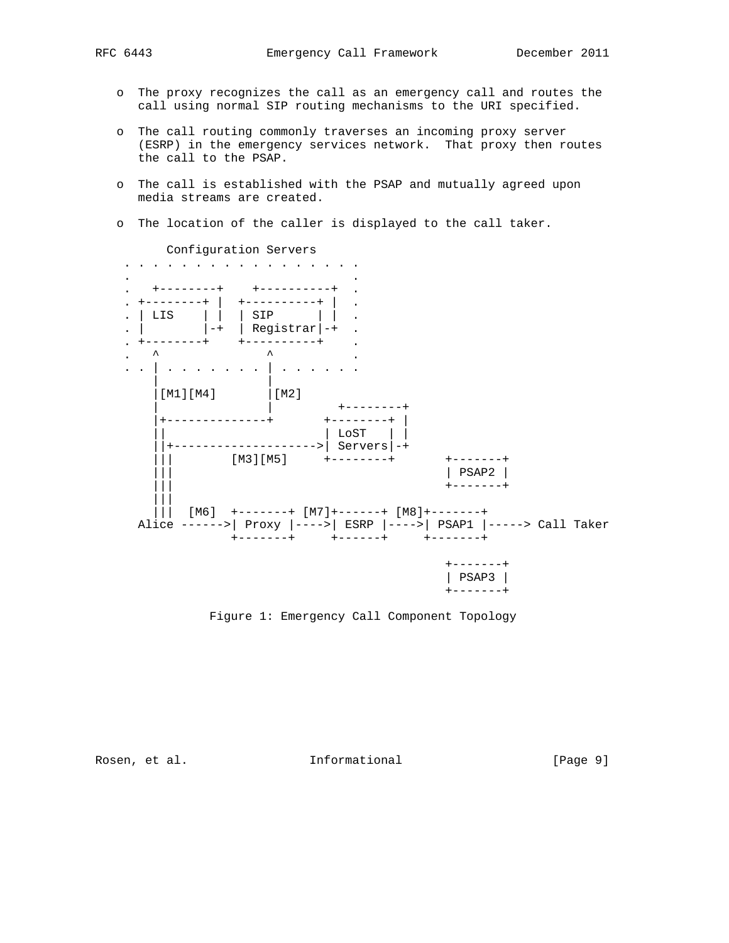- o The proxy recognizes the call as an emergency call and routes the call using normal SIP routing mechanisms to the URI specified.
- o The call routing commonly traverses an incoming proxy server (ESRP) in the emergency services network. That proxy then routes the call to the PSAP.
- o The call is established with the PSAP and mutually agreed upon media streams are created.
- o The location of the caller is displayed to the call taker.



Configuration Servers

Figure 1: Emergency Call Component Topology

Rosen, et al. 1nformational 1999 [Page 9]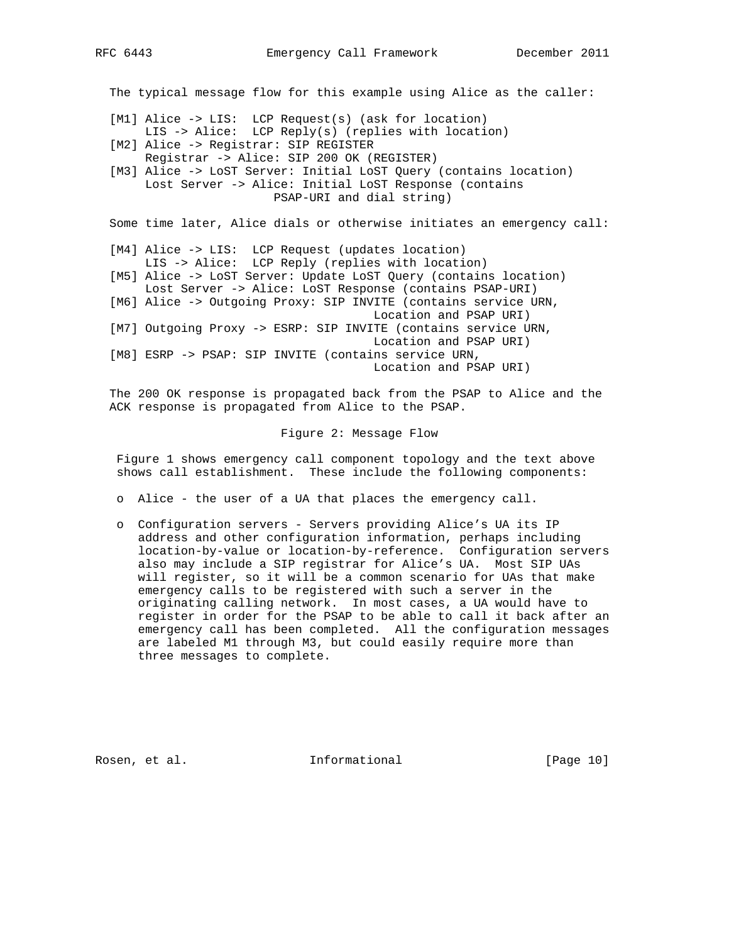The typical message flow for this example using Alice as the caller:

- [M1] Alice -> LIS: LCP Request(s) (ask for location) LIS -> Alice: LCP Reply(s) (replies with location)
	- [M2] Alice -> Registrar: SIP REGISTER Registrar -> Alice: SIP 200 OK (REGISTER)
	- [M3] Alice -> LoST Server: Initial LoST Query (contains location) Lost Server -> Alice: Initial LoST Response (contains PSAP-URI and dial string)

Some time later, Alice dials or otherwise initiates an emergency call:

- [M4] Alice -> LIS: LCP Request (updates location) LIS -> Alice: LCP Reply (replies with location)
- [M5] Alice -> LoST Server: Update LoST Query (contains location) Lost Server -> Alice: LoST Response (contains PSAP-URI) [M6] Alice -> Outgoing Proxy: SIP INVITE (contains service URN,
- Location and PSAP URI)
- [M7] Outgoing Proxy -> ESRP: SIP INVITE (contains service URN, Location and PSAP URI)

 [M8] ESRP -> PSAP: SIP INVITE (contains service URN, Location and PSAP URI)

 The 200 OK response is propagated back from the PSAP to Alice and the ACK response is propagated from Alice to the PSAP.

Figure 2: Message Flow

 Figure 1 shows emergency call component topology and the text above shows call establishment. These include the following components:

- o Alice the user of a UA that places the emergency call.
- o Configuration servers Servers providing Alice's UA its IP address and other configuration information, perhaps including location-by-value or location-by-reference. Configuration servers also may include a SIP registrar for Alice's UA. Most SIP UAs will register, so it will be a common scenario for UAs that make emergency calls to be registered with such a server in the originating calling network. In most cases, a UA would have to register in order for the PSAP to be able to call it back after an emergency call has been completed. All the configuration messages are labeled M1 through M3, but could easily require more than three messages to complete.

Rosen, et al. 10 methormational [Page 10]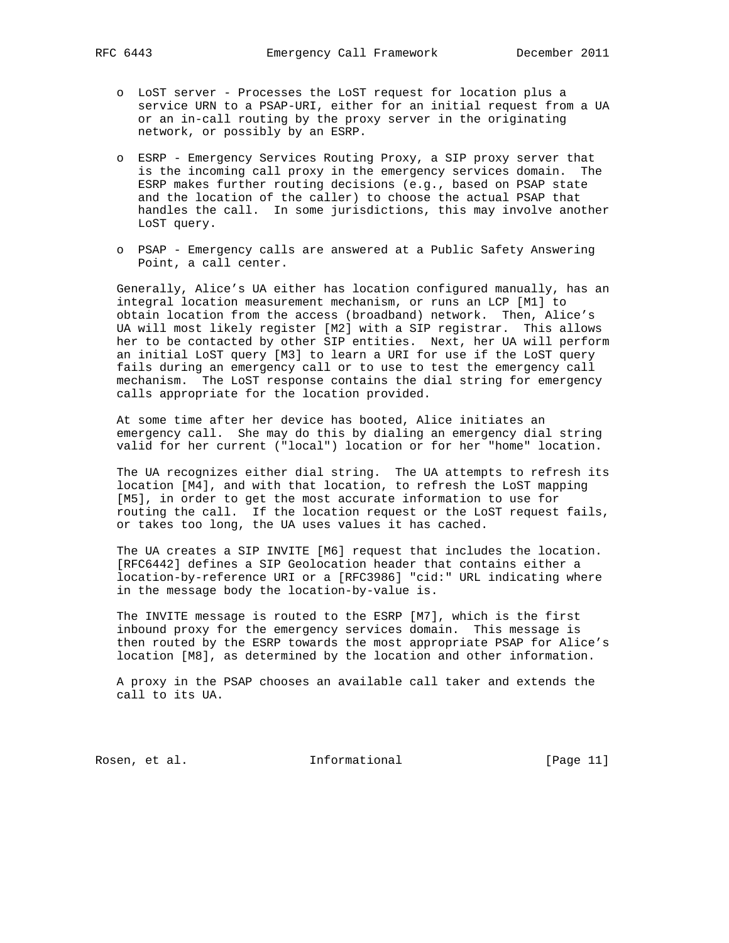- o LoST server Processes the LoST request for location plus a service URN to a PSAP-URI, either for an initial request from a UA or an in-call routing by the proxy server in the originating network, or possibly by an ESRP.
- o ESRP Emergency Services Routing Proxy, a SIP proxy server that is the incoming call proxy in the emergency services domain. The ESRP makes further routing decisions (e.g., based on PSAP state and the location of the caller) to choose the actual PSAP that handles the call. In some jurisdictions, this may involve another LoST query.
- o PSAP Emergency calls are answered at a Public Safety Answering Point, a call center.

 Generally, Alice's UA either has location configured manually, has an integral location measurement mechanism, or runs an LCP [M1] to obtain location from the access (broadband) network. Then, Alice's UA will most likely register [M2] with a SIP registrar. This allows her to be contacted by other SIP entities. Next, her UA will perform an initial LoST query [M3] to learn a URI for use if the LoST query fails during an emergency call or to use to test the emergency call mechanism. The LoST response contains the dial string for emergency calls appropriate for the location provided.

 At some time after her device has booted, Alice initiates an emergency call. She may do this by dialing an emergency dial string valid for her current ("local") location or for her "home" location.

 The UA recognizes either dial string. The UA attempts to refresh its location [M4], and with that location, to refresh the LoST mapping [M5], in order to get the most accurate information to use for routing the call. If the location request or the LoST request fails, or takes too long, the UA uses values it has cached.

 The UA creates a SIP INVITE [M6] request that includes the location. [RFC6442] defines a SIP Geolocation header that contains either a location-by-reference URI or a [RFC3986] "cid:" URL indicating where in the message body the location-by-value is.

 The INVITE message is routed to the ESRP [M7], which is the first inbound proxy for the emergency services domain. This message is then routed by the ESRP towards the most appropriate PSAP for Alice's location [M8], as determined by the location and other information.

 A proxy in the PSAP chooses an available call taker and extends the call to its UA.

Rosen, et al. 10. Informational [Page 11]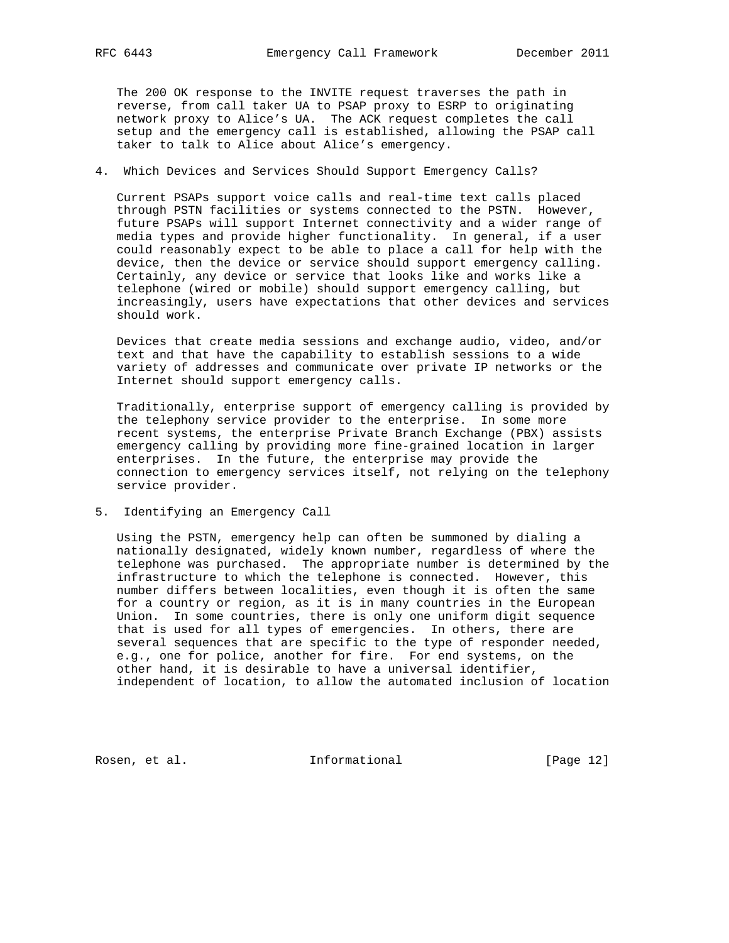The 200 OK response to the INVITE request traverses the path in reverse, from call taker UA to PSAP proxy to ESRP to originating network proxy to Alice's UA. The ACK request completes the call setup and the emergency call is established, allowing the PSAP call taker to talk to Alice about Alice's emergency.

## 4. Which Devices and Services Should Support Emergency Calls?

 Current PSAPs support voice calls and real-time text calls placed through PSTN facilities or systems connected to the PSTN. However, future PSAPs will support Internet connectivity and a wider range of media types and provide higher functionality. In general, if a user could reasonably expect to be able to place a call for help with the device, then the device or service should support emergency calling. Certainly, any device or service that looks like and works like a telephone (wired or mobile) should support emergency calling, but increasingly, users have expectations that other devices and services should work.

 Devices that create media sessions and exchange audio, video, and/or text and that have the capability to establish sessions to a wide variety of addresses and communicate over private IP networks or the Internet should support emergency calls.

 Traditionally, enterprise support of emergency calling is provided by the telephony service provider to the enterprise. In some more recent systems, the enterprise Private Branch Exchange (PBX) assists emergency calling by providing more fine-grained location in larger enterprises. In the future, the enterprise may provide the connection to emergency services itself, not relying on the telephony service provider.

## 5. Identifying an Emergency Call

 Using the PSTN, emergency help can often be summoned by dialing a nationally designated, widely known number, regardless of where the telephone was purchased. The appropriate number is determined by the infrastructure to which the telephone is connected. However, this number differs between localities, even though it is often the same for a country or region, as it is in many countries in the European Union. In some countries, there is only one uniform digit sequence that is used for all types of emergencies. In others, there are several sequences that are specific to the type of responder needed, e.g., one for police, another for fire. For end systems, on the other hand, it is desirable to have a universal identifier, independent of location, to allow the automated inclusion of location

Rosen, et al. 10. Informational [Page 12]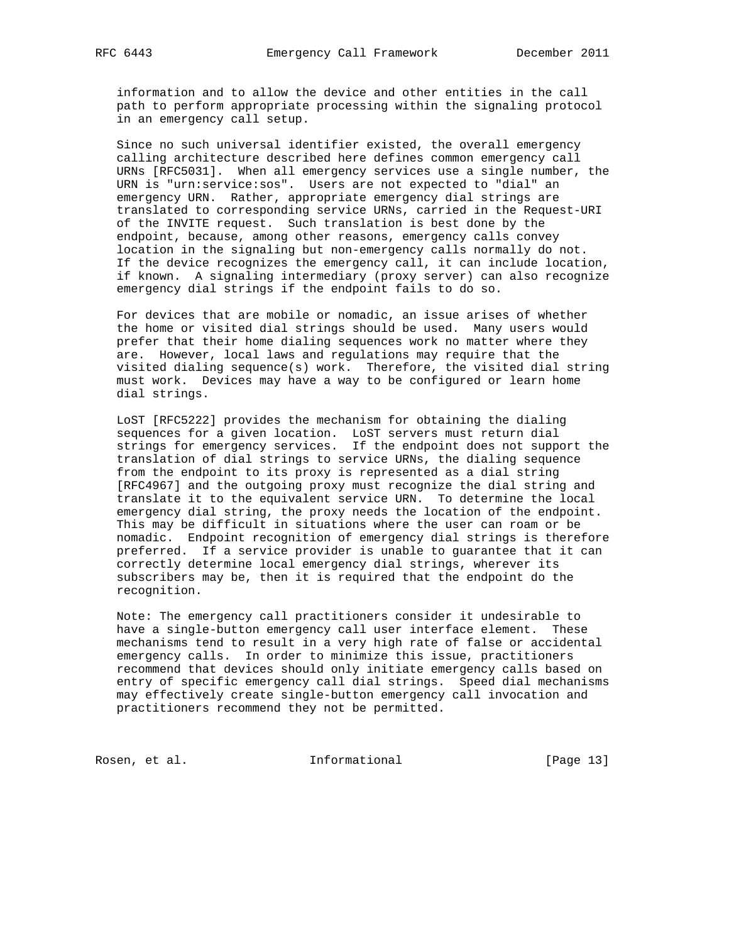information and to allow the device and other entities in the call path to perform appropriate processing within the signaling protocol in an emergency call setup.

 Since no such universal identifier existed, the overall emergency calling architecture described here defines common emergency call URNs [RFC5031]. When all emergency services use a single number, the URN is "urn:service:sos". Users are not expected to "dial" an emergency URN. Rather, appropriate emergency dial strings are translated to corresponding service URNs, carried in the Request-URI of the INVITE request. Such translation is best done by the endpoint, because, among other reasons, emergency calls convey location in the signaling but non-emergency calls normally do not. If the device recognizes the emergency call, it can include location, if known. A signaling intermediary (proxy server) can also recognize emergency dial strings if the endpoint fails to do so.

 For devices that are mobile or nomadic, an issue arises of whether the home or visited dial strings should be used. Many users would prefer that their home dialing sequences work no matter where they are. However, local laws and regulations may require that the visited dialing sequence(s) work. Therefore, the visited dial string must work. Devices may have a way to be configured or learn home dial strings.

 LoST [RFC5222] provides the mechanism for obtaining the dialing sequences for a given location. LoST servers must return dial strings for emergency services. If the endpoint does not support the translation of dial strings to service URNs, the dialing sequence from the endpoint to its proxy is represented as a dial string [RFC4967] and the outgoing proxy must recognize the dial string and translate it to the equivalent service URN. To determine the local emergency dial string, the proxy needs the location of the endpoint. This may be difficult in situations where the user can roam or be nomadic. Endpoint recognition of emergency dial strings is therefore preferred. If a service provider is unable to guarantee that it can correctly determine local emergency dial strings, wherever its subscribers may be, then it is required that the endpoint do the recognition.

 Note: The emergency call practitioners consider it undesirable to have a single-button emergency call user interface element. These mechanisms tend to result in a very high rate of false or accidental emergency calls. In order to minimize this issue, practitioners recommend that devices should only initiate emergency calls based on entry of specific emergency call dial strings. Speed dial mechanisms may effectively create single-button emergency call invocation and practitioners recommend they not be permitted.

Rosen, et al. 10. Informational [Page 13]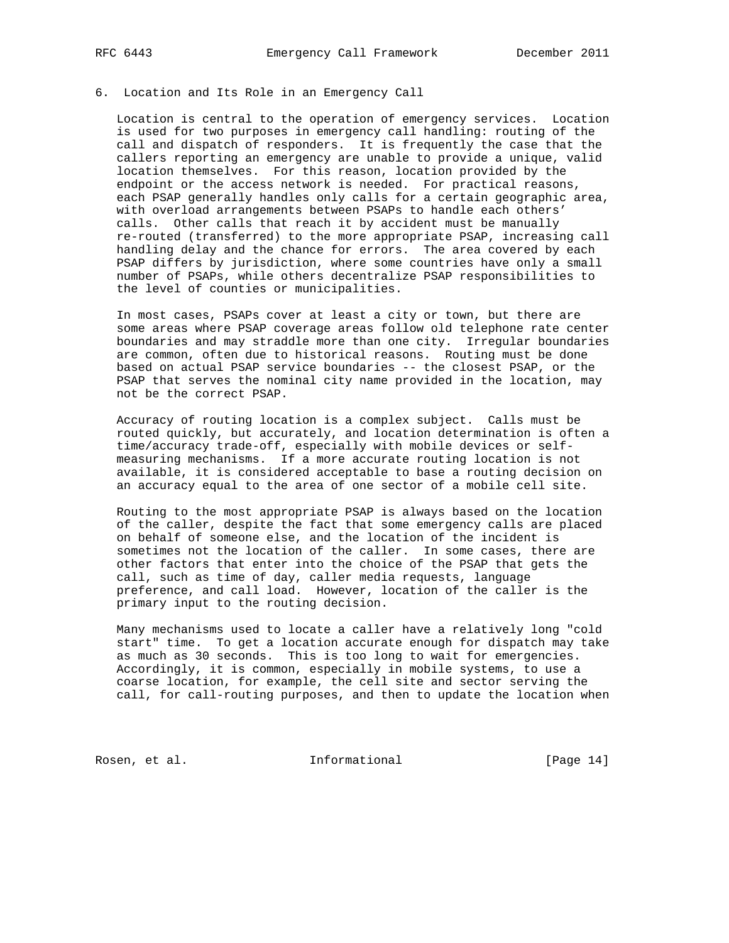#### 6. Location and Its Role in an Emergency Call

 Location is central to the operation of emergency services. Location is used for two purposes in emergency call handling: routing of the call and dispatch of responders. It is frequently the case that the callers reporting an emergency are unable to provide a unique, valid location themselves. For this reason, location provided by the endpoint or the access network is needed. For practical reasons, each PSAP generally handles only calls for a certain geographic area, with overload arrangements between PSAPs to handle each others' calls. Other calls that reach it by accident must be manually re-routed (transferred) to the more appropriate PSAP, increasing call handling delay and the chance for errors. The area covered by each PSAP differs by jurisdiction, where some countries have only a small number of PSAPs, while others decentralize PSAP responsibilities to the level of counties or municipalities.

 In most cases, PSAPs cover at least a city or town, but there are some areas where PSAP coverage areas follow old telephone rate center boundaries and may straddle more than one city. Irregular boundaries are common, often due to historical reasons. Routing must be done based on actual PSAP service boundaries -- the closest PSAP, or the PSAP that serves the nominal city name provided in the location, may not be the correct PSAP.

 Accuracy of routing location is a complex subject. Calls must be routed quickly, but accurately, and location determination is often a time/accuracy trade-off, especially with mobile devices or self measuring mechanisms. If a more accurate routing location is not available, it is considered acceptable to base a routing decision on an accuracy equal to the area of one sector of a mobile cell site.

 Routing to the most appropriate PSAP is always based on the location of the caller, despite the fact that some emergency calls are placed on behalf of someone else, and the location of the incident is sometimes not the location of the caller. In some cases, there are other factors that enter into the choice of the PSAP that gets the call, such as time of day, caller media requests, language preference, and call load. However, location of the caller is the primary input to the routing decision.

 Many mechanisms used to locate a caller have a relatively long "cold start" time. To get a location accurate enough for dispatch may take as much as 30 seconds. This is too long to wait for emergencies. Accordingly, it is common, especially in mobile systems, to use a coarse location, for example, the cell site and sector serving the call, for call-routing purposes, and then to update the location when

Rosen, et al. 10 mm informational [Page 14]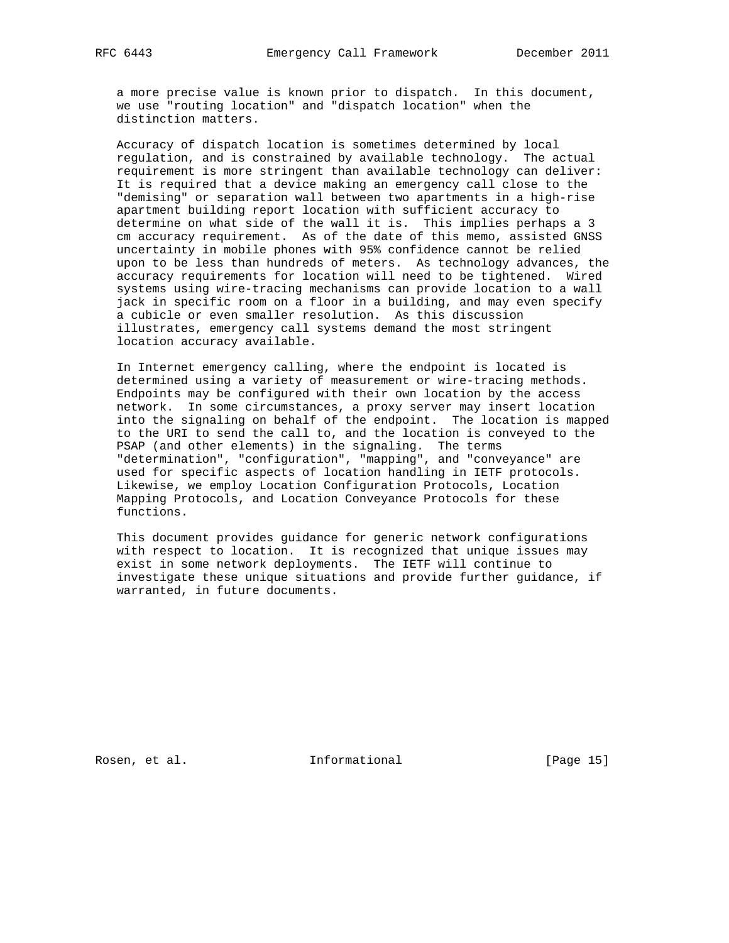a more precise value is known prior to dispatch. In this document, we use "routing location" and "dispatch location" when the distinction matters.

 Accuracy of dispatch location is sometimes determined by local regulation, and is constrained by available technology. The actual requirement is more stringent than available technology can deliver: It is required that a device making an emergency call close to the "demising" or separation wall between two apartments in a high-rise apartment building report location with sufficient accuracy to determine on what side of the wall it is. This implies perhaps a 3 cm accuracy requirement. As of the date of this memo, assisted GNSS uncertainty in mobile phones with 95% confidence cannot be relied upon to be less than hundreds of meters. As technology advances, the accuracy requirements for location will need to be tightened. Wired systems using wire-tracing mechanisms can provide location to a wall jack in specific room on a floor in a building, and may even specify a cubicle or even smaller resolution. As this discussion illustrates, emergency call systems demand the most stringent location accuracy available.

 In Internet emergency calling, where the endpoint is located is determined using a variety of measurement or wire-tracing methods. Endpoints may be configured with their own location by the access network. In some circumstances, a proxy server may insert location into the signaling on behalf of the endpoint. The location is mapped to the URI to send the call to, and the location is conveyed to the PSAP (and other elements) in the signaling. The terms "determination", "configuration", "mapping", and "conveyance" are used for specific aspects of location handling in IETF protocols. Likewise, we employ Location Configuration Protocols, Location Mapping Protocols, and Location Conveyance Protocols for these functions.

 This document provides guidance for generic network configurations with respect to location. It is recognized that unique issues may exist in some network deployments. The IETF will continue to investigate these unique situations and provide further guidance, if warranted, in future documents.

Rosen, et al. 10. Informational 1. [Page 15]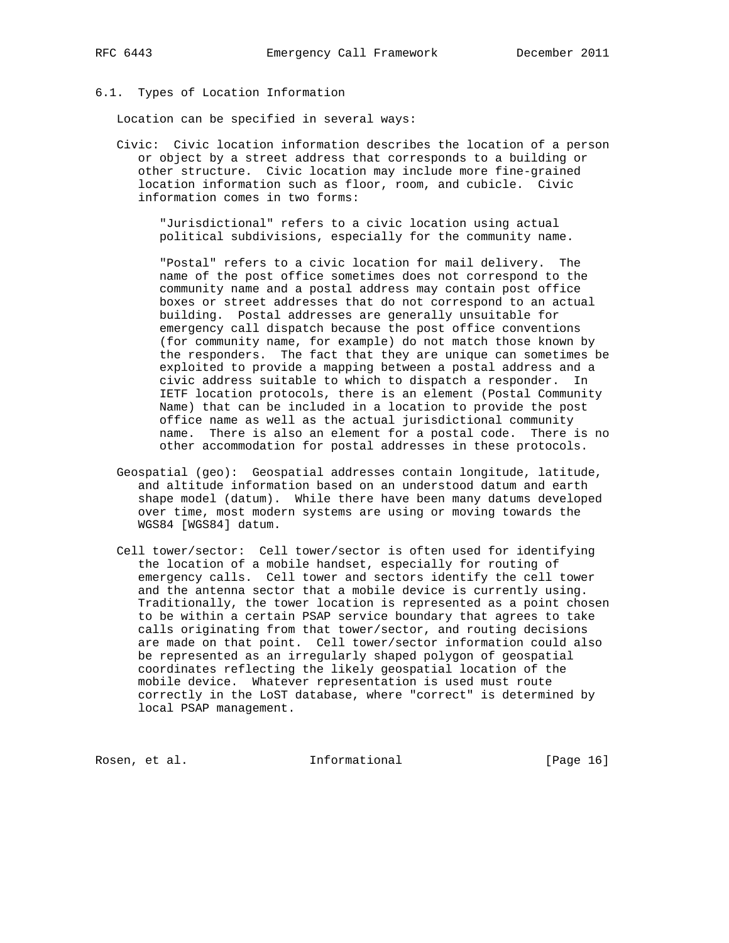## 6.1. Types of Location Information

Location can be specified in several ways:

 Civic: Civic location information describes the location of a person or object by a street address that corresponds to a building or other structure. Civic location may include more fine-grained location information such as floor, room, and cubicle. Civic information comes in two forms:

 "Jurisdictional" refers to a civic location using actual political subdivisions, especially for the community name.

 "Postal" refers to a civic location for mail delivery. The name of the post office sometimes does not correspond to the community name and a postal address may contain post office boxes or street addresses that do not correspond to an actual building. Postal addresses are generally unsuitable for emergency call dispatch because the post office conventions (for community name, for example) do not match those known by the responders. The fact that they are unique can sometimes be exploited to provide a mapping between a postal address and a civic address suitable to which to dispatch a responder. In IETF location protocols, there is an element (Postal Community Name) that can be included in a location to provide the post office name as well as the actual jurisdictional community name. There is also an element for a postal code. There is no other accommodation for postal addresses in these protocols.

- Geospatial (geo): Geospatial addresses contain longitude, latitude, and altitude information based on an understood datum and earth shape model (datum). While there have been many datums developed over time, most modern systems are using or moving towards the WGS84 [WGS84] datum.
- Cell tower/sector: Cell tower/sector is often used for identifying the location of a mobile handset, especially for routing of emergency calls. Cell tower and sectors identify the cell tower and the antenna sector that a mobile device is currently using. Traditionally, the tower location is represented as a point chosen to be within a certain PSAP service boundary that agrees to take calls originating from that tower/sector, and routing decisions are made on that point. Cell tower/sector information could also be represented as an irregularly shaped polygon of geospatial coordinates reflecting the likely geospatial location of the mobile device. Whatever representation is used must route correctly in the LoST database, where "correct" is determined by local PSAP management.

Rosen, et al. 10 methormational [Page 16]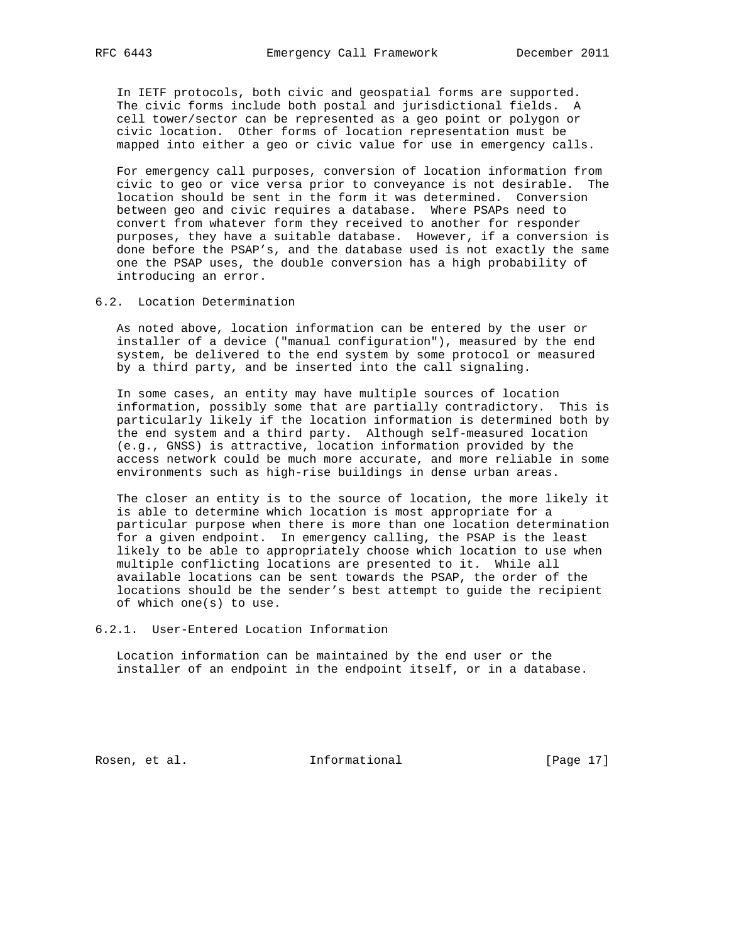In IETF protocols, both civic and geospatial forms are supported. The civic forms include both postal and jurisdictional fields. A cell tower/sector can be represented as a geo point or polygon or civic location. Other forms of location representation must be mapped into either a geo or civic value for use in emergency calls.

 For emergency call purposes, conversion of location information from civic to geo or vice versa prior to conveyance is not desirable. The location should be sent in the form it was determined. Conversion between geo and civic requires a database. Where PSAPs need to convert from whatever form they received to another for responder purposes, they have a suitable database. However, if a conversion is done before the PSAP's, and the database used is not exactly the same one the PSAP uses, the double conversion has a high probability of introducing an error.

6.2. Location Determination

 As noted above, location information can be entered by the user or installer of a device ("manual configuration"), measured by the end system, be delivered to the end system by some protocol or measured by a third party, and be inserted into the call signaling.

 In some cases, an entity may have multiple sources of location information, possibly some that are partially contradictory. This is particularly likely if the location information is determined both by the end system and a third party. Although self-measured location (e.g., GNSS) is attractive, location information provided by the access network could be much more accurate, and more reliable in some environments such as high-rise buildings in dense urban areas.

 The closer an entity is to the source of location, the more likely it is able to determine which location is most appropriate for a particular purpose when there is more than one location determination for a given endpoint. In emergency calling, the PSAP is the least likely to be able to appropriately choose which location to use when multiple conflicting locations are presented to it. While all available locations can be sent towards the PSAP, the order of the locations should be the sender's best attempt to guide the recipient of which one(s) to use.

6.2.1. User-Entered Location Information

 Location information can be maintained by the end user or the installer of an endpoint in the endpoint itself, or in a database.

Rosen, et al. 10. Informational [Page 17]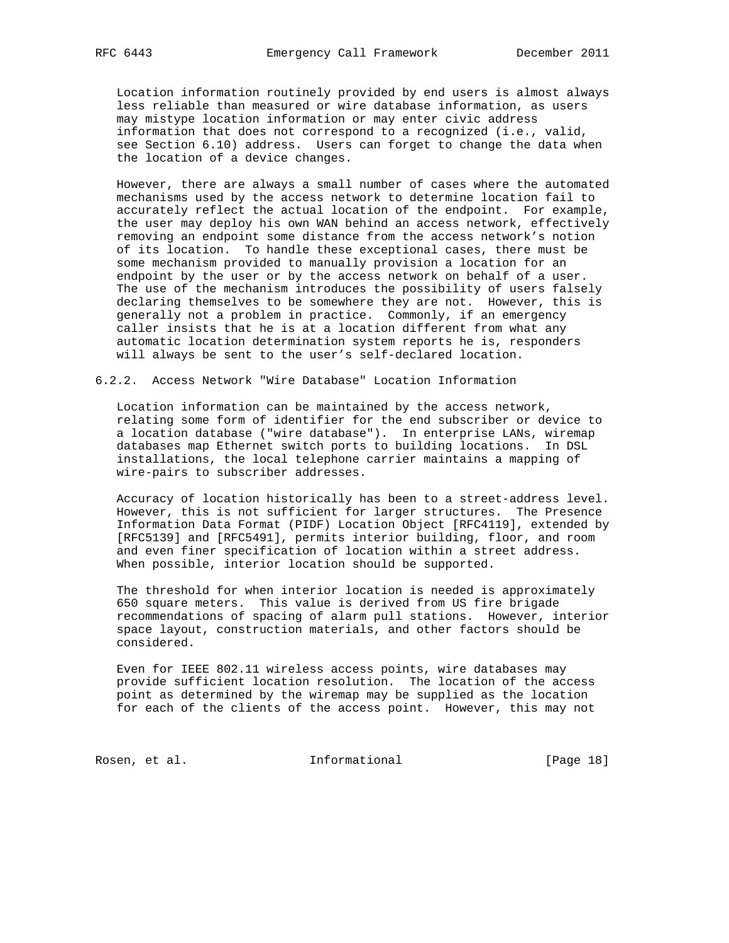Location information routinely provided by end users is almost always less reliable than measured or wire database information, as users may mistype location information or may enter civic address information that does not correspond to a recognized (i.e., valid, see Section 6.10) address. Users can forget to change the data when the location of a device changes.

 However, there are always a small number of cases where the automated mechanisms used by the access network to determine location fail to accurately reflect the actual location of the endpoint. For example, the user may deploy his own WAN behind an access network, effectively removing an endpoint some distance from the access network's notion of its location. To handle these exceptional cases, there must be some mechanism provided to manually provision a location for an endpoint by the user or by the access network on behalf of a user. The use of the mechanism introduces the possibility of users falsely declaring themselves to be somewhere they are not. However, this is generally not a problem in practice. Commonly, if an emergency caller insists that he is at a location different from what any automatic location determination system reports he is, responders will always be sent to the user's self-declared location.

6.2.2. Access Network "Wire Database" Location Information

 Location information can be maintained by the access network, relating some form of identifier for the end subscriber or device to a location database ("wire database"). In enterprise LANs, wiremap databases map Ethernet switch ports to building locations. In DSL installations, the local telephone carrier maintains a mapping of wire-pairs to subscriber addresses.

 Accuracy of location historically has been to a street-address level. However, this is not sufficient for larger structures. The Presence Information Data Format (PIDF) Location Object [RFC4119], extended by [RFC5139] and [RFC5491], permits interior building, floor, and room and even finer specification of location within a street address. When possible, interior location should be supported.

 The threshold for when interior location is needed is approximately 650 square meters. This value is derived from US fire brigade recommendations of spacing of alarm pull stations. However, interior space layout, construction materials, and other factors should be considered.

 Even for IEEE 802.11 wireless access points, wire databases may provide sufficient location resolution. The location of the access point as determined by the wiremap may be supplied as the location for each of the clients of the access point. However, this may not

Rosen, et al. 10. Informational [Page 18]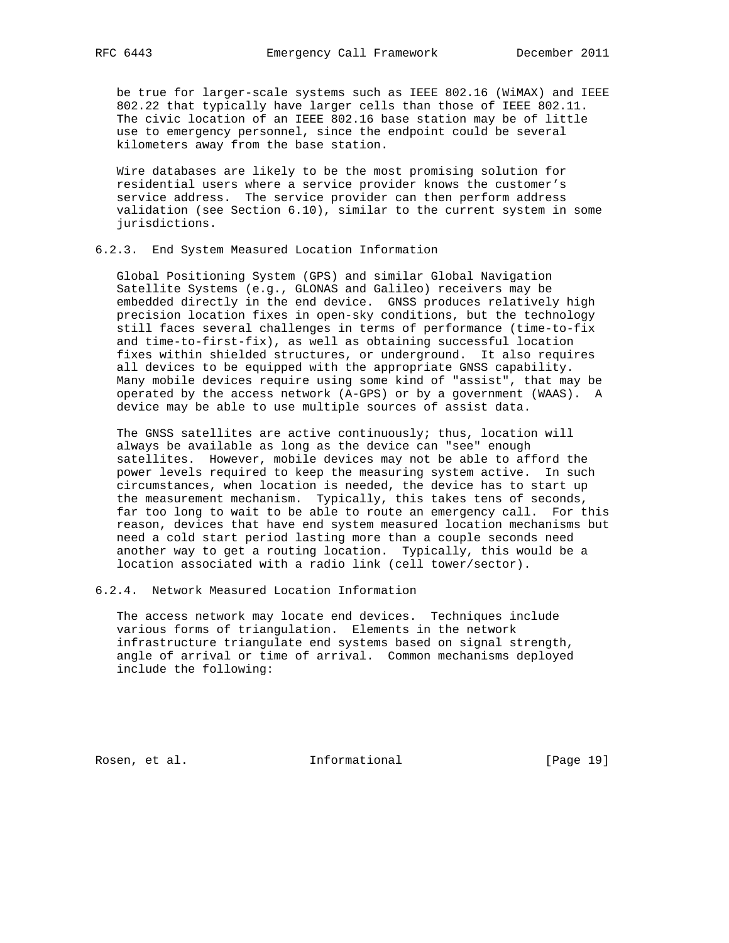be true for larger-scale systems such as IEEE 802.16 (WiMAX) and IEEE 802.22 that typically have larger cells than those of IEEE 802.11. The civic location of an IEEE 802.16 base station may be of little use to emergency personnel, since the endpoint could be several kilometers away from the base station.

 Wire databases are likely to be the most promising solution for residential users where a service provider knows the customer's service address. The service provider can then perform address validation (see Section 6.10), similar to the current system in some jurisdictions.

## 6.2.3. End System Measured Location Information

 Global Positioning System (GPS) and similar Global Navigation Satellite Systems (e.g., GLONAS and Galileo) receivers may be embedded directly in the end device. GNSS produces relatively high precision location fixes in open-sky conditions, but the technology still faces several challenges in terms of performance (time-to-fix and time-to-first-fix), as well as obtaining successful location fixes within shielded structures, or underground. It also requires all devices to be equipped with the appropriate GNSS capability. Many mobile devices require using some kind of "assist", that may be operated by the access network (A-GPS) or by a government (WAAS). A device may be able to use multiple sources of assist data.

 The GNSS satellites are active continuously; thus, location will always be available as long as the device can "see" enough satellites. However, mobile devices may not be able to afford the power levels required to keep the measuring system active. In such circumstances, when location is needed, the device has to start up the measurement mechanism. Typically, this takes tens of seconds, far too long to wait to be able to route an emergency call. For this reason, devices that have end system measured location mechanisms but need a cold start period lasting more than a couple seconds need another way to get a routing location. Typically, this would be a location associated with a radio link (cell tower/sector).

6.2.4. Network Measured Location Information

 The access network may locate end devices. Techniques include various forms of triangulation. Elements in the network infrastructure triangulate end systems based on signal strength, angle of arrival or time of arrival. Common mechanisms deployed include the following:

Rosen, et al. 10. Informational [Page 19]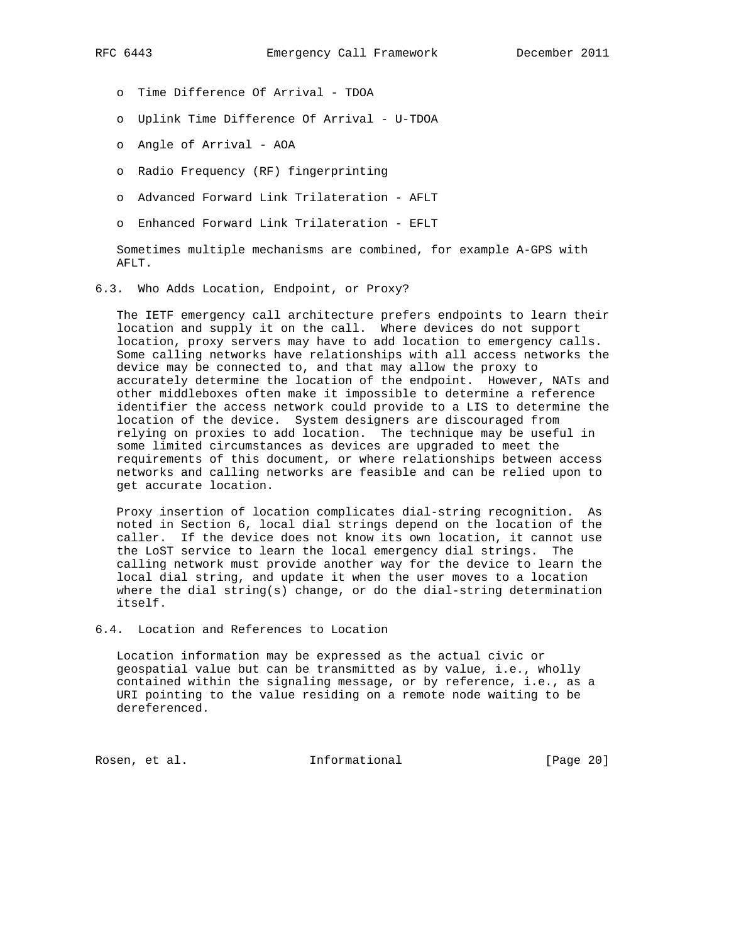- o Time Difference Of Arrival TDOA
- o Uplink Time Difference Of Arrival U-TDOA
- o Angle of Arrival AOA
- o Radio Frequency (RF) fingerprinting
- o Advanced Forward Link Trilateration AFLT
- o Enhanced Forward Link Trilateration EFLT

 Sometimes multiple mechanisms are combined, for example A-GPS with AFLT.

6.3. Who Adds Location, Endpoint, or Proxy?

 The IETF emergency call architecture prefers endpoints to learn their location and supply it on the call. Where devices do not support location, proxy servers may have to add location to emergency calls. Some calling networks have relationships with all access networks the device may be connected to, and that may allow the proxy to accurately determine the location of the endpoint. However, NATs and other middleboxes often make it impossible to determine a reference identifier the access network could provide to a LIS to determine the location of the device. System designers are discouraged from relying on proxies to add location. The technique may be useful in some limited circumstances as devices are upgraded to meet the requirements of this document, or where relationships between access networks and calling networks are feasible and can be relied upon to get accurate location.

 Proxy insertion of location complicates dial-string recognition. As noted in Section 6, local dial strings depend on the location of the caller. If the device does not know its own location, it cannot use the LoST service to learn the local emergency dial strings. The calling network must provide another way for the device to learn the local dial string, and update it when the user moves to a location where the dial string(s) change, or do the dial-string determination itself.

6.4. Location and References to Location

 Location information may be expressed as the actual civic or geospatial value but can be transmitted as by value, i.e., wholly contained within the signaling message, or by reference, i.e., as a URI pointing to the value residing on a remote node waiting to be dereferenced.

Rosen, et al. 10 methormational [Page 20]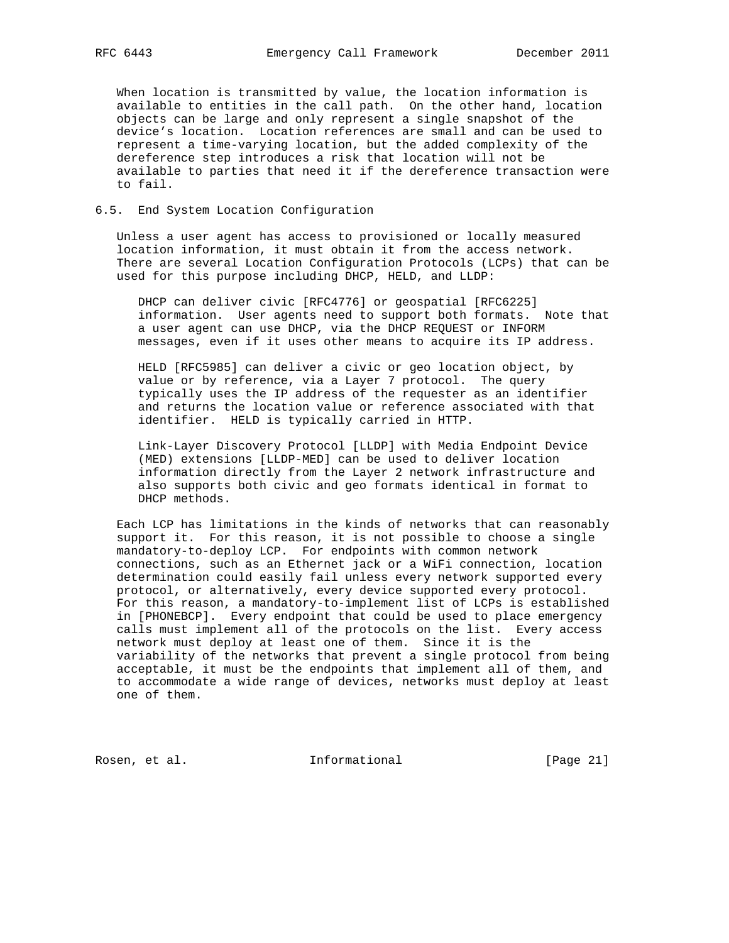When location is transmitted by value, the location information is available to entities in the call path. On the other hand, location objects can be large and only represent a single snapshot of the device's location. Location references are small and can be used to represent a time-varying location, but the added complexity of the dereference step introduces a risk that location will not be available to parties that need it if the dereference transaction were to fail.

# 6.5. End System Location Configuration

 Unless a user agent has access to provisioned or locally measured location information, it must obtain it from the access network. There are several Location Configuration Protocols (LCPs) that can be used for this purpose including DHCP, HELD, and LLDP:

 DHCP can deliver civic [RFC4776] or geospatial [RFC6225] information. User agents need to support both formats. Note that a user agent can use DHCP, via the DHCP REQUEST or INFORM messages, even if it uses other means to acquire its IP address.

 HELD [RFC5985] can deliver a civic or geo location object, by value or by reference, via a Layer 7 protocol. The query typically uses the IP address of the requester as an identifier and returns the location value or reference associated with that identifier. HELD is typically carried in HTTP.

 Link-Layer Discovery Protocol [LLDP] with Media Endpoint Device (MED) extensions [LLDP-MED] can be used to deliver location information directly from the Layer 2 network infrastructure and also supports both civic and geo formats identical in format to DHCP methods.

 Each LCP has limitations in the kinds of networks that can reasonably support it. For this reason, it is not possible to choose a single mandatory-to-deploy LCP. For endpoints with common network connections, such as an Ethernet jack or a WiFi connection, location determination could easily fail unless every network supported every protocol, or alternatively, every device supported every protocol. For this reason, a mandatory-to-implement list of LCPs is established in [PHONEBCP]. Every endpoint that could be used to place emergency calls must implement all of the protocols on the list. Every access network must deploy at least one of them. Since it is the variability of the networks that prevent a single protocol from being acceptable, it must be the endpoints that implement all of them, and to accommodate a wide range of devices, networks must deploy at least one of them.

Rosen, et al. 10. Informational [Page 21]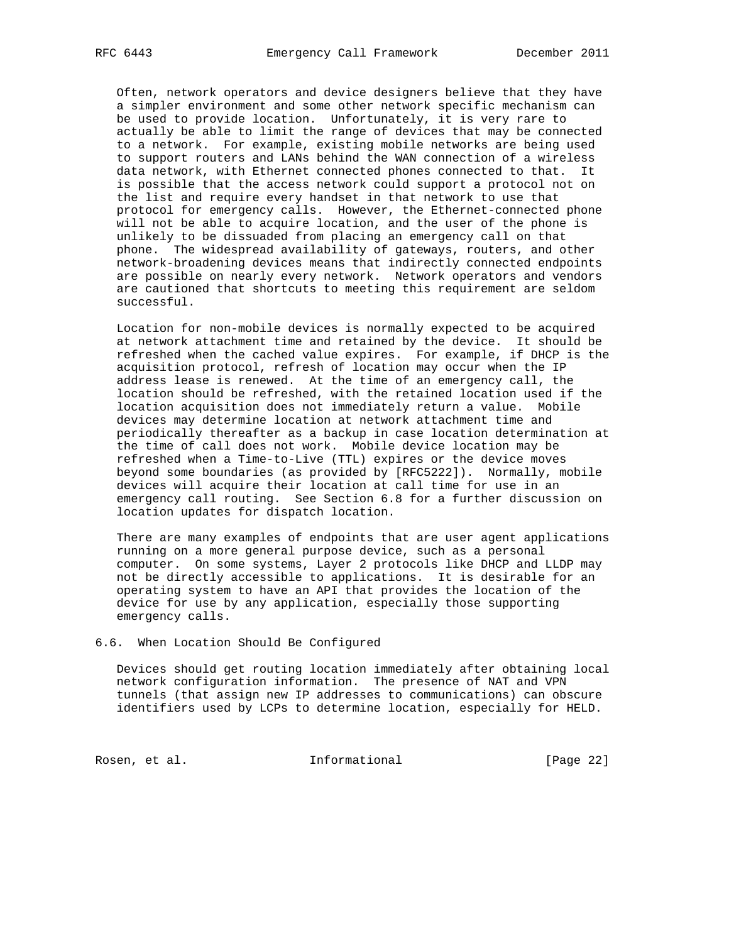Often, network operators and device designers believe that they have a simpler environment and some other network specific mechanism can be used to provide location. Unfortunately, it is very rare to actually be able to limit the range of devices that may be connected to a network. For example, existing mobile networks are being used to support routers and LANs behind the WAN connection of a wireless data network, with Ethernet connected phones connected to that. It is possible that the access network could support a protocol not on the list and require every handset in that network to use that protocol for emergency calls. However, the Ethernet-connected phone will not be able to acquire location, and the user of the phone is unlikely to be dissuaded from placing an emergency call on that phone. The widespread availability of gateways, routers, and other network-broadening devices means that indirectly connected endpoints are possible on nearly every network. Network operators and vendors are cautioned that shortcuts to meeting this requirement are seldom successful.

 Location for non-mobile devices is normally expected to be acquired at network attachment time and retained by the device. It should be refreshed when the cached value expires. For example, if DHCP is the acquisition protocol, refresh of location may occur when the IP address lease is renewed. At the time of an emergency call, the location should be refreshed, with the retained location used if the location acquisition does not immediately return a value. Mobile devices may determine location at network attachment time and periodically thereafter as a backup in case location determination at the time of call does not work. Mobile device location may be refreshed when a Time-to-Live (TTL) expires or the device moves beyond some boundaries (as provided by [RFC5222]). Normally, mobile devices will acquire their location at call time for use in an emergency call routing. See Section 6.8 for a further discussion on location updates for dispatch location.

 There are many examples of endpoints that are user agent applications running on a more general purpose device, such as a personal computer. On some systems, Layer 2 protocols like DHCP and LLDP may not be directly accessible to applications. It is desirable for an operating system to have an API that provides the location of the device for use by any application, especially those supporting emergency calls.

### 6.6. When Location Should Be Configured

 Devices should get routing location immediately after obtaining local network configuration information. The presence of NAT and VPN tunnels (that assign new IP addresses to communications) can obscure identifiers used by LCPs to determine location, especially for HELD.

Rosen, et al. 1nformational [Page 22]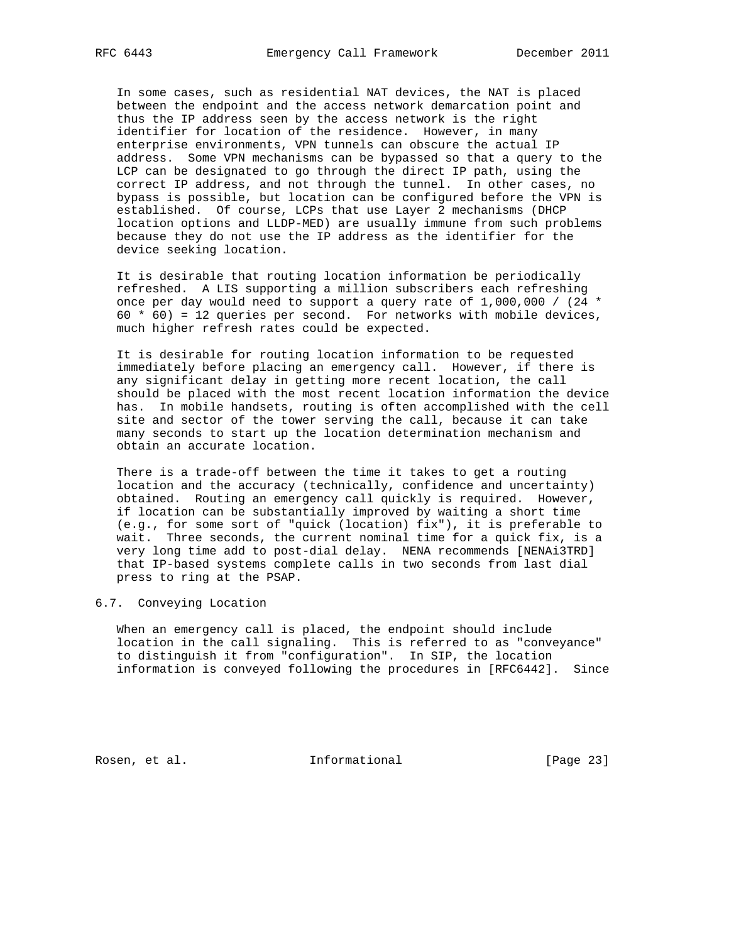In some cases, such as residential NAT devices, the NAT is placed between the endpoint and the access network demarcation point and thus the IP address seen by the access network is the right identifier for location of the residence. However, in many enterprise environments, VPN tunnels can obscure the actual IP address. Some VPN mechanisms can be bypassed so that a query to the LCP can be designated to go through the direct IP path, using the correct IP address, and not through the tunnel. In other cases, no bypass is possible, but location can be configured before the VPN is established. Of course, LCPs that use Layer 2 mechanisms (DHCP location options and LLDP-MED) are usually immune from such problems because they do not use the IP address as the identifier for the device seeking location.

 It is desirable that routing location information be periodically refreshed. A LIS supporting a million subscribers each refreshing once per day would need to support a query rate of 1,000,000 / (24 \* 60  $*$  60) = 12 queries per second. For networks with mobile devices, much higher refresh rates could be expected.

 It is desirable for routing location information to be requested immediately before placing an emergency call. However, if there is any significant delay in getting more recent location, the call should be placed with the most recent location information the device has. In mobile handsets, routing is often accomplished with the cell site and sector of the tower serving the call, because it can take many seconds to start up the location determination mechanism and obtain an accurate location.

 There is a trade-off between the time it takes to get a routing location and the accuracy (technically, confidence and uncertainty) obtained. Routing an emergency call quickly is required. However, if location can be substantially improved by waiting a short time (e.g., for some sort of "quick (location) fix"), it is preferable to wait. Three seconds, the current nominal time for a quick fix, is a very long time add to post-dial delay. NENA recommends [NENAi3TRD] that IP-based systems complete calls in two seconds from last dial press to ring at the PSAP.

## 6.7. Conveying Location

 When an emergency call is placed, the endpoint should include location in the call signaling. This is referred to as "conveyance" to distinguish it from "configuration". In SIP, the location information is conveyed following the procedures in [RFC6442]. Since

Rosen, et al. 10 mm informational [Page 23]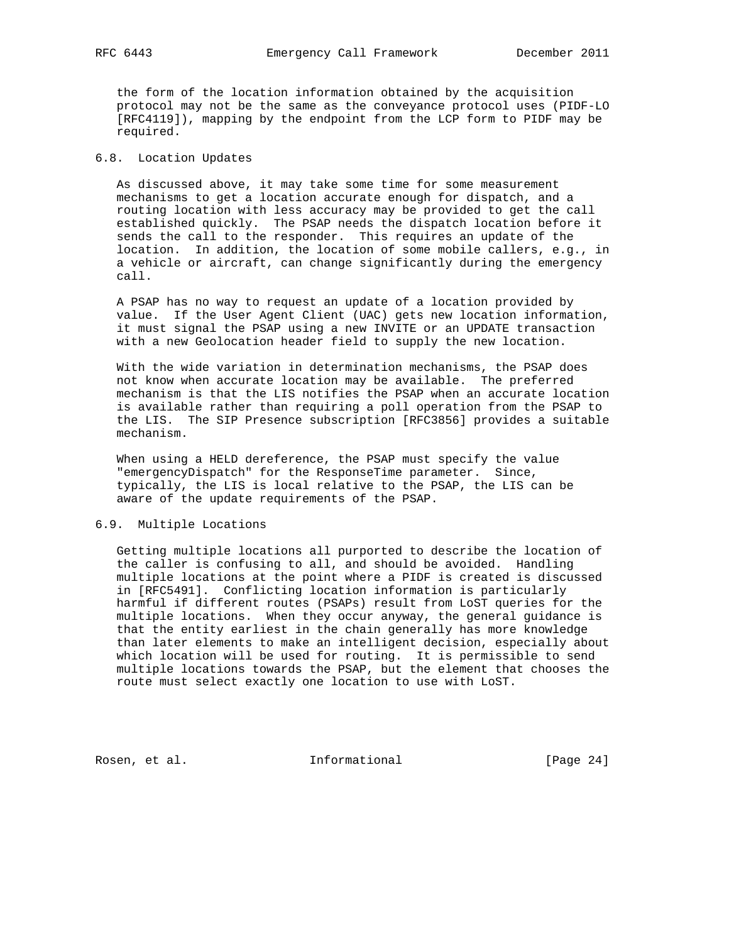the form of the location information obtained by the acquisition protocol may not be the same as the conveyance protocol uses (PIDF-LO [RFC4119]), mapping by the endpoint from the LCP form to PIDF may be required.

## 6.8. Location Updates

 As discussed above, it may take some time for some measurement mechanisms to get a location accurate enough for dispatch, and a routing location with less accuracy may be provided to get the call established quickly. The PSAP needs the dispatch location before it sends the call to the responder. This requires an update of the location. In addition, the location of some mobile callers, e.g., in a vehicle or aircraft, can change significantly during the emergency call.

 A PSAP has no way to request an update of a location provided by value. If the User Agent Client (UAC) gets new location information, it must signal the PSAP using a new INVITE or an UPDATE transaction with a new Geolocation header field to supply the new location.

 With the wide variation in determination mechanisms, the PSAP does not know when accurate location may be available. The preferred mechanism is that the LIS notifies the PSAP when an accurate location is available rather than requiring a poll operation from the PSAP to the LIS. The SIP Presence subscription [RFC3856] provides a suitable mechanism.

 When using a HELD dereference, the PSAP must specify the value "emergencyDispatch" for the ResponseTime parameter. Since, typically, the LIS is local relative to the PSAP, the LIS can be aware of the update requirements of the PSAP.

# 6.9. Multiple Locations

 Getting multiple locations all purported to describe the location of the caller is confusing to all, and should be avoided. Handling multiple locations at the point where a PIDF is created is discussed in [RFC5491]. Conflicting location information is particularly harmful if different routes (PSAPs) result from LoST queries for the multiple locations. When they occur anyway, the general guidance is that the entity earliest in the chain generally has more knowledge than later elements to make an intelligent decision, especially about which location will be used for routing. It is permissible to send multiple locations towards the PSAP, but the element that chooses the route must select exactly one location to use with LoST.

Rosen, et al. 10. Informational [Page 24]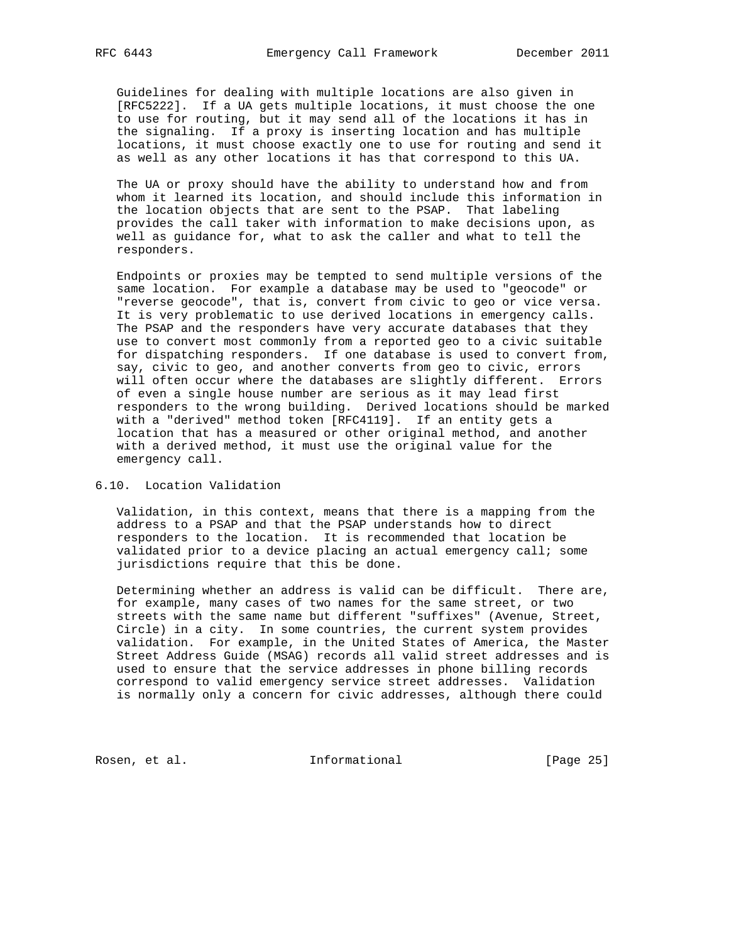Guidelines for dealing with multiple locations are also given in [RFC5222]. If a UA gets multiple locations, it must choose the one to use for routing, but it may send all of the locations it has in the signaling. If a proxy is inserting location and has multiple locations, it must choose exactly one to use for routing and send it as well as any other locations it has that correspond to this UA.

 The UA or proxy should have the ability to understand how and from whom it learned its location, and should include this information in the location objects that are sent to the PSAP. That labeling provides the call taker with information to make decisions upon, as well as guidance for, what to ask the caller and what to tell the responders.

 Endpoints or proxies may be tempted to send multiple versions of the same location. For example a database may be used to "geocode" or "reverse geocode", that is, convert from civic to geo or vice versa. It is very problematic to use derived locations in emergency calls. The PSAP and the responders have very accurate databases that they use to convert most commonly from a reported geo to a civic suitable for dispatching responders. If one database is used to convert from, say, civic to geo, and another converts from geo to civic, errors will often occur where the databases are slightly different. Errors of even a single house number are serious as it may lead first responders to the wrong building. Derived locations should be marked with a "derived" method token [RFC4119]. If an entity gets a location that has a measured or other original method, and another with a derived method, it must use the original value for the emergency call.

## 6.10. Location Validation

 Validation, in this context, means that there is a mapping from the address to a PSAP and that the PSAP understands how to direct responders to the location. It is recommended that location be validated prior to a device placing an actual emergency call; some jurisdictions require that this be done.

 Determining whether an address is valid can be difficult. There are, for example, many cases of two names for the same street, or two streets with the same name but different "suffixes" (Avenue, Street, Circle) in a city. In some countries, the current system provides validation. For example, in the United States of America, the Master Street Address Guide (MSAG) records all valid street addresses and is used to ensure that the service addresses in phone billing records correspond to valid emergency service street addresses. Validation is normally only a concern for civic addresses, although there could

Rosen, et al. 10 mm informational [Page 25]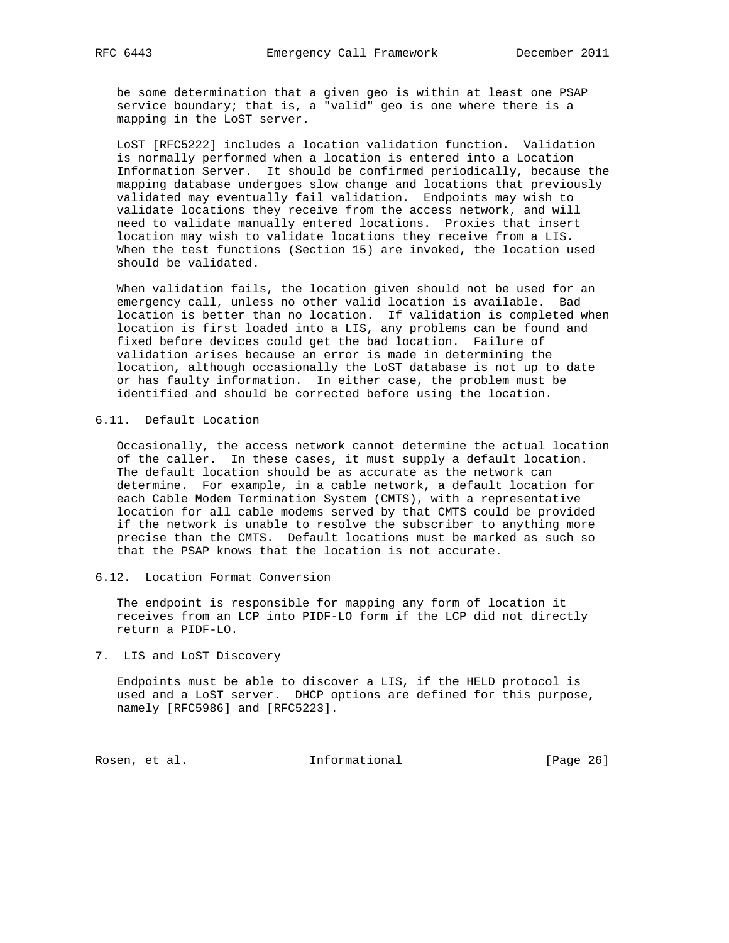be some determination that a given geo is within at least one PSAP service boundary; that is, a "valid" geo is one where there is a mapping in the LoST server.

 LoST [RFC5222] includes a location validation function. Validation is normally performed when a location is entered into a Location Information Server. It should be confirmed periodically, because the mapping database undergoes slow change and locations that previously validated may eventually fail validation. Endpoints may wish to validate locations they receive from the access network, and will need to validate manually entered locations. Proxies that insert location may wish to validate locations they receive from a LIS. When the test functions (Section 15) are invoked, the location used should be validated.

 When validation fails, the location given should not be used for an emergency call, unless no other valid location is available. Bad location is better than no location. If validation is completed when location is first loaded into a LIS, any problems can be found and fixed before devices could get the bad location. Failure of validation arises because an error is made in determining the location, although occasionally the LoST database is not up to date or has faulty information. In either case, the problem must be identified and should be corrected before using the location.

## 6.11. Default Location

 Occasionally, the access network cannot determine the actual location of the caller. In these cases, it must supply a default location. The default location should be as accurate as the network can determine. For example, in a cable network, a default location for each Cable Modem Termination System (CMTS), with a representative location for all cable modems served by that CMTS could be provided if the network is unable to resolve the subscriber to anything more precise than the CMTS. Default locations must be marked as such so that the PSAP knows that the location is not accurate.

### 6.12. Location Format Conversion

 The endpoint is responsible for mapping any form of location it receives from an LCP into PIDF-LO form if the LCP did not directly return a PIDF-LO.

7. LIS and LoST Discovery

 Endpoints must be able to discover a LIS, if the HELD protocol is used and a LoST server. DHCP options are defined for this purpose, namely [RFC5986] and [RFC5223].

Rosen, et al. 10 methormational [Page 26]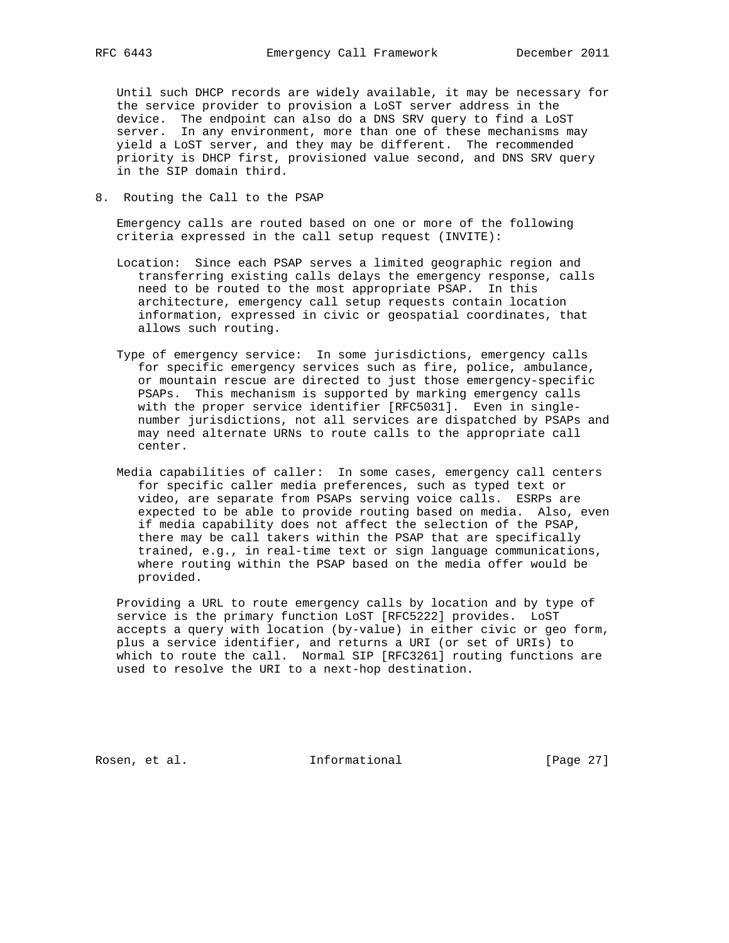Until such DHCP records are widely available, it may be necessary for the service provider to provision a LoST server address in the device. The endpoint can also do a DNS SRV query to find a LoST server. In any environment, more than one of these mechanisms may yield a LoST server, and they may be different. The recommended priority is DHCP first, provisioned value second, and DNS SRV query in the SIP domain third.

8. Routing the Call to the PSAP

 Emergency calls are routed based on one or more of the following criteria expressed in the call setup request (INVITE):

- Location: Since each PSAP serves a limited geographic region and transferring existing calls delays the emergency response, calls need to be routed to the most appropriate PSAP. In this architecture, emergency call setup requests contain location information, expressed in civic or geospatial coordinates, that allows such routing.
- Type of emergency service: In some jurisdictions, emergency calls for specific emergency services such as fire, police, ambulance, or mountain rescue are directed to just those emergency-specific PSAPs. This mechanism is supported by marking emergency calls with the proper service identifier [RFC5031]. Even in single number jurisdictions, not all services are dispatched by PSAPs and may need alternate URNs to route calls to the appropriate call center.
- Media capabilities of caller: In some cases, emergency call centers for specific caller media preferences, such as typed text or video, are separate from PSAPs serving voice calls. ESRPs are expected to be able to provide routing based on media. Also, even if media capability does not affect the selection of the PSAP, there may be call takers within the PSAP that are specifically trained, e.g., in real-time text or sign language communications, where routing within the PSAP based on the media offer would be provided.

 Providing a URL to route emergency calls by location and by type of service is the primary function LoST [RFC5222] provides. LoST accepts a query with location (by-value) in either civic or geo form, plus a service identifier, and returns a URI (or set of URIs) to which to route the call. Normal SIP [RFC3261] routing functions are used to resolve the URI to a next-hop destination.

Rosen, et al. 100 mm informational [Page 27]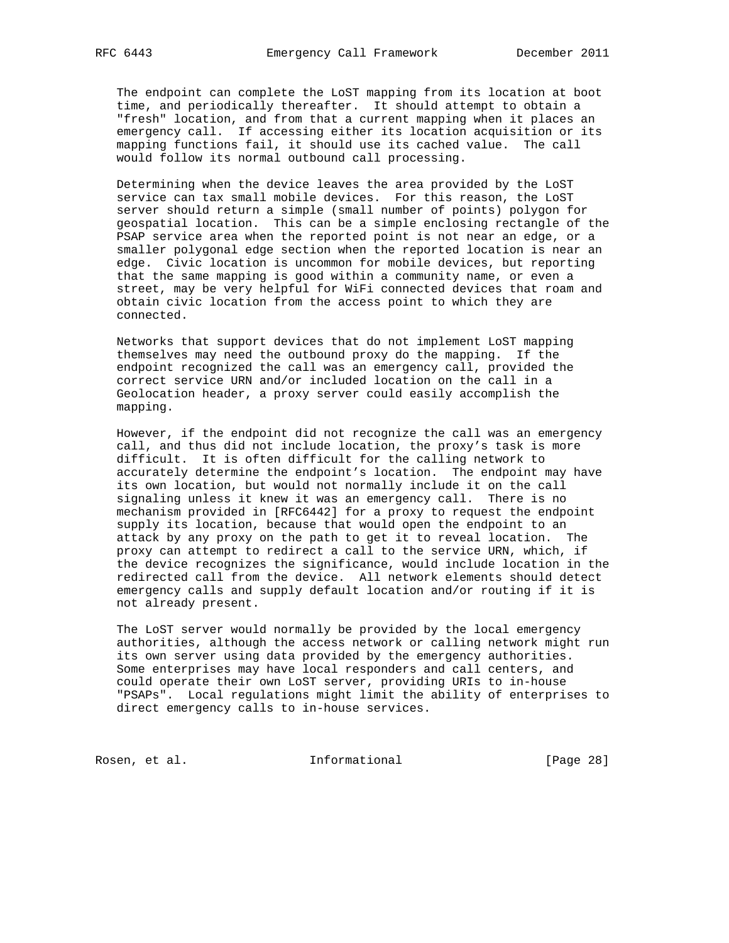The endpoint can complete the LoST mapping from its location at boot time, and periodically thereafter. It should attempt to obtain a "fresh" location, and from that a current mapping when it places an emergency call. If accessing either its location acquisition or its mapping functions fail, it should use its cached value. The call would follow its normal outbound call processing.

 Determining when the device leaves the area provided by the LoST service can tax small mobile devices. For this reason, the LoST server should return a simple (small number of points) polygon for geospatial location. This can be a simple enclosing rectangle of the PSAP service area when the reported point is not near an edge, or a smaller polygonal edge section when the reported location is near an edge. Civic location is uncommon for mobile devices, but reporting that the same mapping is good within a community name, or even a street, may be very helpful for WiFi connected devices that roam and obtain civic location from the access point to which they are connected.

 Networks that support devices that do not implement LoST mapping themselves may need the outbound proxy do the mapping. If the endpoint recognized the call was an emergency call, provided the correct service URN and/or included location on the call in a Geolocation header, a proxy server could easily accomplish the mapping.

 However, if the endpoint did not recognize the call was an emergency call, and thus did not include location, the proxy's task is more difficult. It is often difficult for the calling network to accurately determine the endpoint's location. The endpoint may have its own location, but would not normally include it on the call signaling unless it knew it was an emergency call. There is no mechanism provided in [RFC6442] for a proxy to request the endpoint supply its location, because that would open the endpoint to an attack by any proxy on the path to get it to reveal location. The proxy can attempt to redirect a call to the service URN, which, if the device recognizes the significance, would include location in the redirected call from the device. All network elements should detect emergency calls and supply default location and/or routing if it is not already present.

 The LoST server would normally be provided by the local emergency authorities, although the access network or calling network might run its own server using data provided by the emergency authorities. Some enterprises may have local responders and call centers, and could operate their own LoST server, providing URIs to in-house "PSAPs". Local regulations might limit the ability of enterprises to direct emergency calls to in-house services.

Rosen, et al. 10. Informational 1. [Page 28]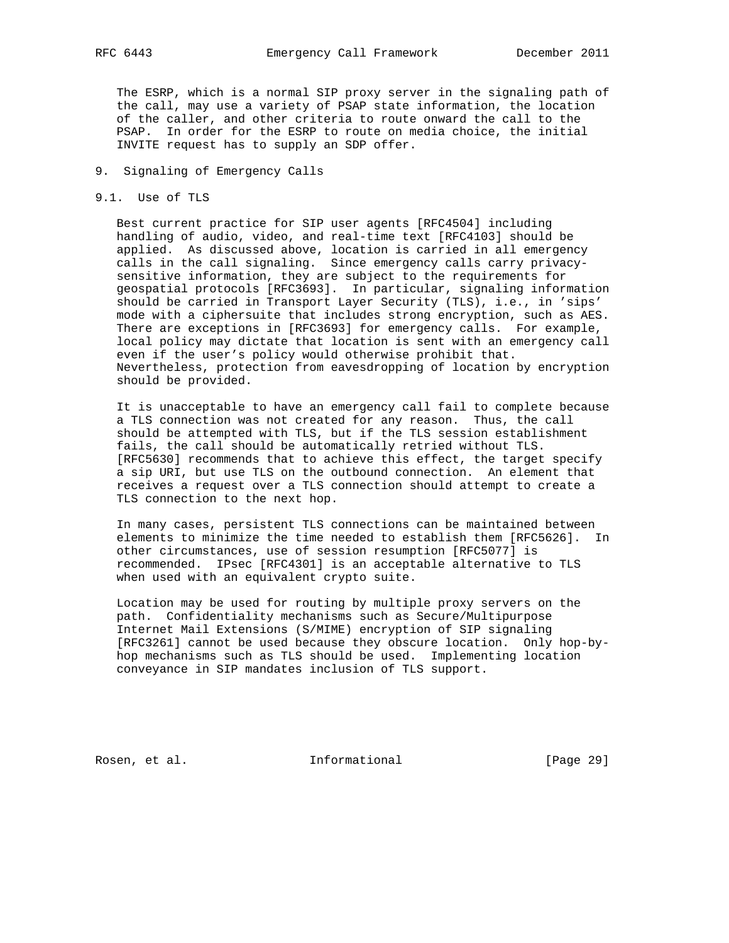The ESRP, which is a normal SIP proxy server in the signaling path of the call, may use a variety of PSAP state information, the location of the caller, and other criteria to route onward the call to the PSAP. In order for the ESRP to route on media choice, the initial INVITE request has to supply an SDP offer.

# 9. Signaling of Emergency Calls

#### 9.1. Use of TLS

 Best current practice for SIP user agents [RFC4504] including handling of audio, video, and real-time text [RFC4103] should be applied. As discussed above, location is carried in all emergency calls in the call signaling. Since emergency calls carry privacy sensitive information, they are subject to the requirements for geospatial protocols [RFC3693]. In particular, signaling information should be carried in Transport Layer Security (TLS), i.e., in 'sips' mode with a ciphersuite that includes strong encryption, such as AES. There are exceptions in [RFC3693] for emergency calls. For example, local policy may dictate that location is sent with an emergency call even if the user's policy would otherwise prohibit that. Nevertheless, protection from eavesdropping of location by encryption should be provided.

 It is unacceptable to have an emergency call fail to complete because a TLS connection was not created for any reason. Thus, the call should be attempted with TLS, but if the TLS session establishment fails, the call should be automatically retried without TLS. [RFC5630] recommends that to achieve this effect, the target specify a sip URI, but use TLS on the outbound connection. An element that receives a request over a TLS connection should attempt to create a TLS connection to the next hop.

 In many cases, persistent TLS connections can be maintained between elements to minimize the time needed to establish them [RFC5626]. In other circumstances, use of session resumption [RFC5077] is recommended. IPsec [RFC4301] is an acceptable alternative to TLS when used with an equivalent crypto suite.

 Location may be used for routing by multiple proxy servers on the path. Confidentiality mechanisms such as Secure/Multipurpose Internet Mail Extensions (S/MIME) encryption of SIP signaling [RFC3261] cannot be used because they obscure location. Only hop-by hop mechanisms such as TLS should be used. Implementing location conveyance in SIP mandates inclusion of TLS support.

Rosen, et al. 100 mm and 111 mm and 111 mm and 120 mm and 120 mm and 120 mm and 120 mm and 120 mm and 120 mm a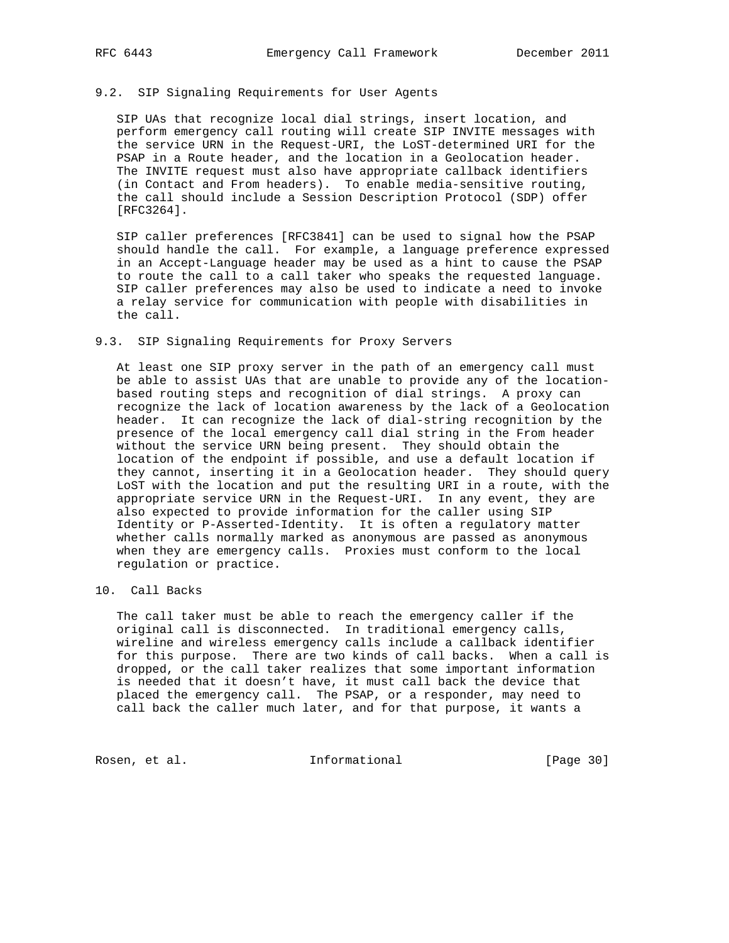# 9.2. SIP Signaling Requirements for User Agents

 SIP UAs that recognize local dial strings, insert location, and perform emergency call routing will create SIP INVITE messages with the service URN in the Request-URI, the LoST-determined URI for the PSAP in a Route header, and the location in a Geolocation header. The INVITE request must also have appropriate callback identifiers (in Contact and From headers). To enable media-sensitive routing, the call should include a Session Description Protocol (SDP) offer [RFC3264].

 SIP caller preferences [RFC3841] can be used to signal how the PSAP should handle the call. For example, a language preference expressed in an Accept-Language header may be used as a hint to cause the PSAP to route the call to a call taker who speaks the requested language. SIP caller preferences may also be used to indicate a need to invoke a relay service for communication with people with disabilities in the call.

### 9.3. SIP Signaling Requirements for Proxy Servers

 At least one SIP proxy server in the path of an emergency call must be able to assist UAs that are unable to provide any of the location based routing steps and recognition of dial strings. A proxy can recognize the lack of location awareness by the lack of a Geolocation header. It can recognize the lack of dial-string recognition by the presence of the local emergency call dial string in the From header without the service URN being present. They should obtain the location of the endpoint if possible, and use a default location if they cannot, inserting it in a Geolocation header. They should query LoST with the location and put the resulting URI in a route, with the appropriate service URN in the Request-URI. In any event, they are also expected to provide information for the caller using SIP Identity or P-Asserted-Identity. It is often a regulatory matter whether calls normally marked as anonymous are passed as anonymous when they are emergency calls. Proxies must conform to the local regulation or practice.

# 10. Call Backs

 The call taker must be able to reach the emergency caller if the original call is disconnected. In traditional emergency calls, wireline and wireless emergency calls include a callback identifier for this purpose. There are two kinds of call backs. When a call is dropped, or the call taker realizes that some important information is needed that it doesn't have, it must call back the device that placed the emergency call. The PSAP, or a responder, may need to call back the caller much later, and for that purpose, it wants a

Rosen, et al. 10 mm informational [Page 30]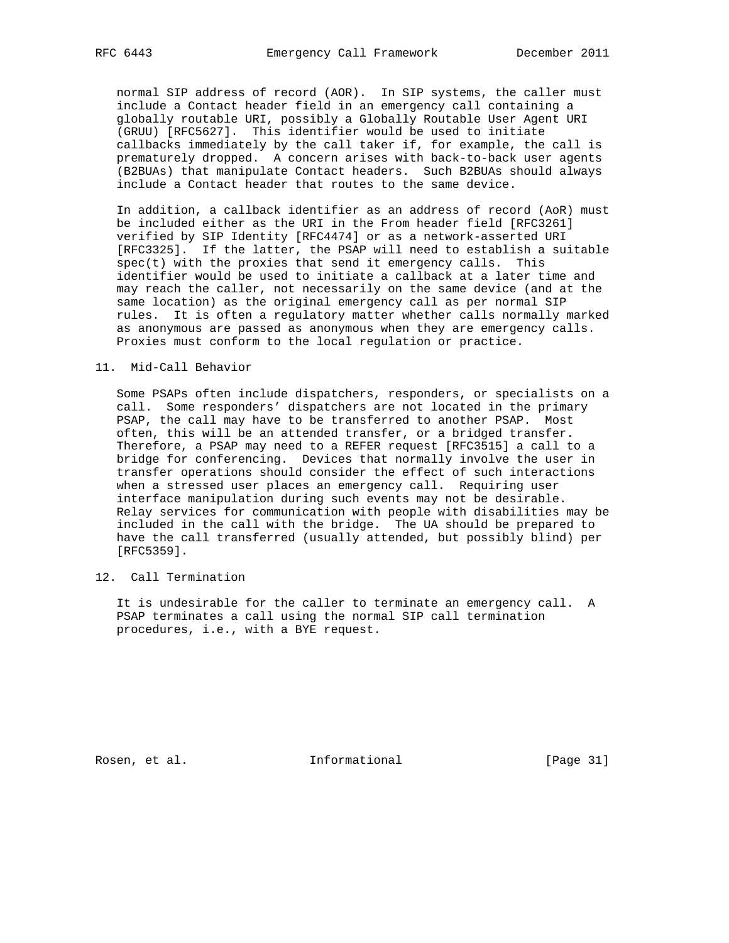normal SIP address of record (AOR). In SIP systems, the caller must include a Contact header field in an emergency call containing a globally routable URI, possibly a Globally Routable User Agent URI (GRUU) [RFC5627]. This identifier would be used to initiate callbacks immediately by the call taker if, for example, the call is prematurely dropped. A concern arises with back-to-back user agents (B2BUAs) that manipulate Contact headers. Such B2BUAs should always include a Contact header that routes to the same device.

 In addition, a callback identifier as an address of record (AoR) must be included either as the URI in the From header field [RFC3261] verified by SIP Identity [RFC4474] or as a network-asserted URI [RFC3325]. If the latter, the PSAP will need to establish a suitable  $spec(t)$  with the proxies that send it emergency calls. This identifier would be used to initiate a callback at a later time and may reach the caller, not necessarily on the same device (and at the same location) as the original emergency call as per normal SIP rules. It is often a regulatory matter whether calls normally marked as anonymous are passed as anonymous when they are emergency calls. Proxies must conform to the local regulation or practice.

11. Mid-Call Behavior

 Some PSAPs often include dispatchers, responders, or specialists on a call. Some responders' dispatchers are not located in the primary PSAP, the call may have to be transferred to another PSAP. Most often, this will be an attended transfer, or a bridged transfer. Therefore, a PSAP may need to a REFER request [RFC3515] a call to a bridge for conferencing. Devices that normally involve the user in transfer operations should consider the effect of such interactions when a stressed user places an emergency call. Requiring user interface manipulation during such events may not be desirable. Relay services for communication with people with disabilities may be included in the call with the bridge. The UA should be prepared to have the call transferred (usually attended, but possibly blind) per [RFC5359].

12. Call Termination

 It is undesirable for the caller to terminate an emergency call. A PSAP terminates a call using the normal SIP call termination procedures, i.e., with a BYE request.

Rosen, et al. 100 mm informational [Page 31]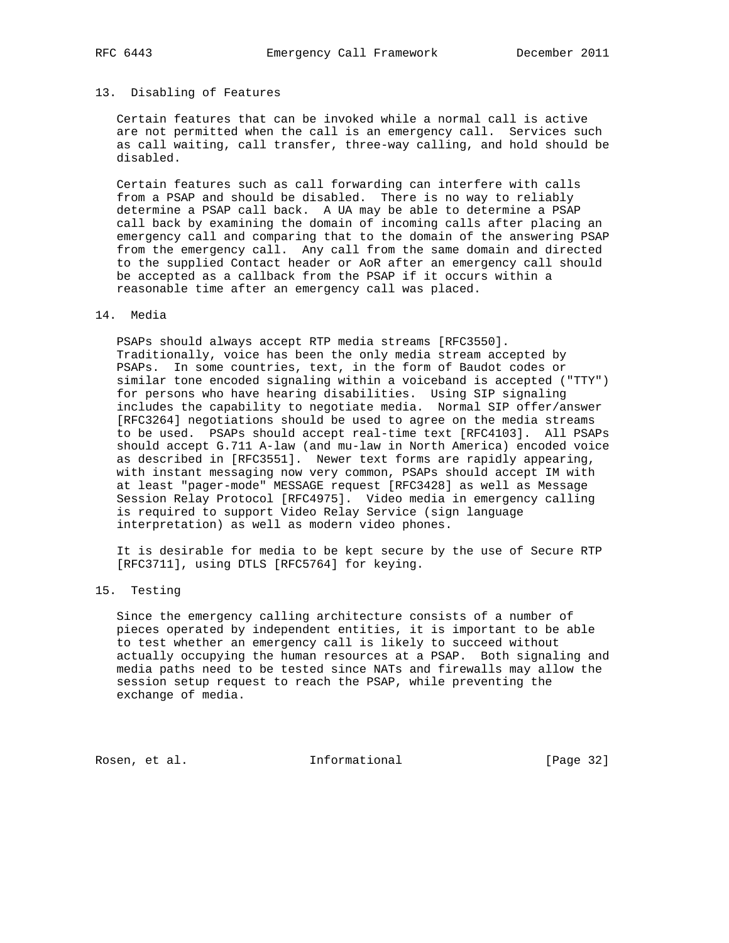# 13. Disabling of Features

 Certain features that can be invoked while a normal call is active are not permitted when the call is an emergency call. Services such as call waiting, call transfer, three-way calling, and hold should be disabled.

 Certain features such as call forwarding can interfere with calls from a PSAP and should be disabled. There is no way to reliably determine a PSAP call back. A UA may be able to determine a PSAP call back by examining the domain of incoming calls after placing an emergency call and comparing that to the domain of the answering PSAP from the emergency call. Any call from the same domain and directed to the supplied Contact header or AoR after an emergency call should be accepted as a callback from the PSAP if it occurs within a reasonable time after an emergency call was placed.

### 14. Media

 PSAPs should always accept RTP media streams [RFC3550]. Traditionally, voice has been the only media stream accepted by PSAPs. In some countries, text, in the form of Baudot codes or similar tone encoded signaling within a voiceband is accepted ("TTY") for persons who have hearing disabilities. Using SIP signaling includes the capability to negotiate media. Normal SIP offer/answer [RFC3264] negotiations should be used to agree on the media streams to be used. PSAPs should accept real-time text [RFC4103]. All PSAPs should accept G.711 A-law (and mu-law in North America) encoded voice as described in [RFC3551]. Newer text forms are rapidly appearing, with instant messaging now very common, PSAPs should accept IM with at least "pager-mode" MESSAGE request [RFC3428] as well as Message Session Relay Protocol [RFC4975]. Video media in emergency calling is required to support Video Relay Service (sign language interpretation) as well as modern video phones.

 It is desirable for media to be kept secure by the use of Secure RTP [RFC3711], using DTLS [RFC5764] for keying.

# 15. Testing

 Since the emergency calling architecture consists of a number of pieces operated by independent entities, it is important to be able to test whether an emergency call is likely to succeed without actually occupying the human resources at a PSAP. Both signaling and media paths need to be tested since NATs and firewalls may allow the session setup request to reach the PSAP, while preventing the exchange of media.

Rosen, et al. 100 mm informational [Page 32]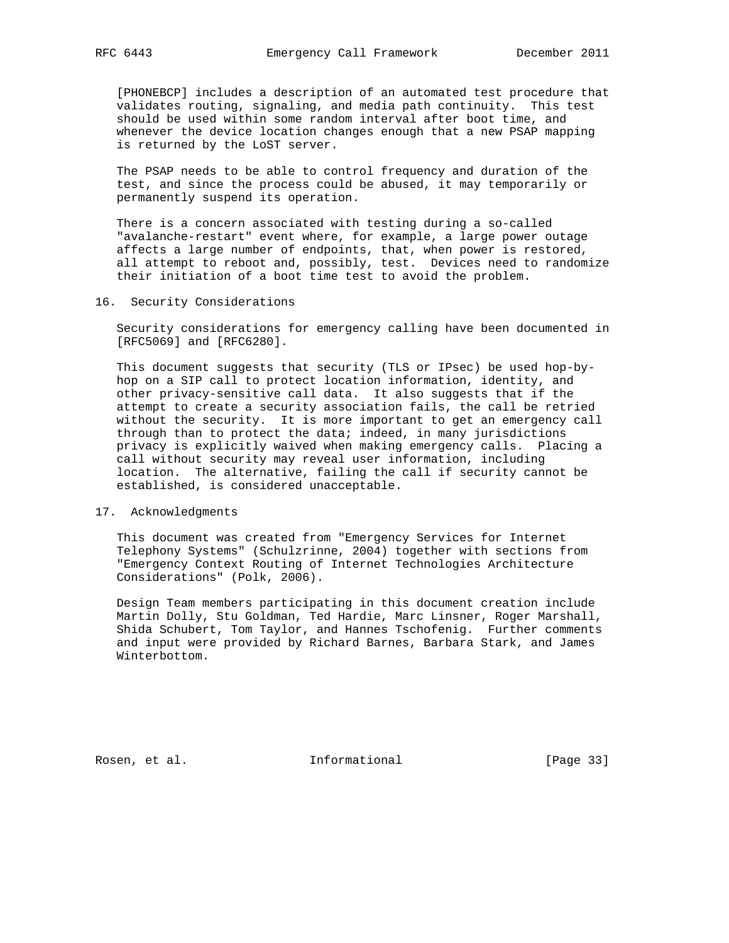[PHONEBCP] includes a description of an automated test procedure that validates routing, signaling, and media path continuity. This test should be used within some random interval after boot time, and whenever the device location changes enough that a new PSAP mapping is returned by the LoST server.

 The PSAP needs to be able to control frequency and duration of the test, and since the process could be abused, it may temporarily or permanently suspend its operation.

 There is a concern associated with testing during a so-called "avalanche-restart" event where, for example, a large power outage affects a large number of endpoints, that, when power is restored, all attempt to reboot and, possibly, test. Devices need to randomize their initiation of a boot time test to avoid the problem.

#### 16. Security Considerations

 Security considerations for emergency calling have been documented in [RFC5069] and [RFC6280].

 This document suggests that security (TLS or IPsec) be used hop-by hop on a SIP call to protect location information, identity, and other privacy-sensitive call data. It also suggests that if the attempt to create a security association fails, the call be retried without the security. It is more important to get an emergency call through than to protect the data; indeed, in many jurisdictions privacy is explicitly waived when making emergency calls. Placing a call without security may reveal user information, including location. The alternative, failing the call if security cannot be established, is considered unacceptable.

## 17. Acknowledgments

 This document was created from "Emergency Services for Internet Telephony Systems" (Schulzrinne, 2004) together with sections from "Emergency Context Routing of Internet Technologies Architecture Considerations" (Polk, 2006).

 Design Team members participating in this document creation include Martin Dolly, Stu Goldman, Ted Hardie, Marc Linsner, Roger Marshall, Shida Schubert, Tom Taylor, and Hannes Tschofenig. Further comments and input were provided by Richard Barnes, Barbara Stark, and James Winterbottom.

Rosen, et al. 100 mm and 111 mm and 111 mm and 12 mm and 12 mm and 12 mm and 12 mm and 12 mm and 12 mm and 12 mm and 12 mm and 12 mm and 12 mm and 12 mm and 12 mm and 12 mm and 12 mm and 12 mm and 12 mm and 12 mm and 12 mm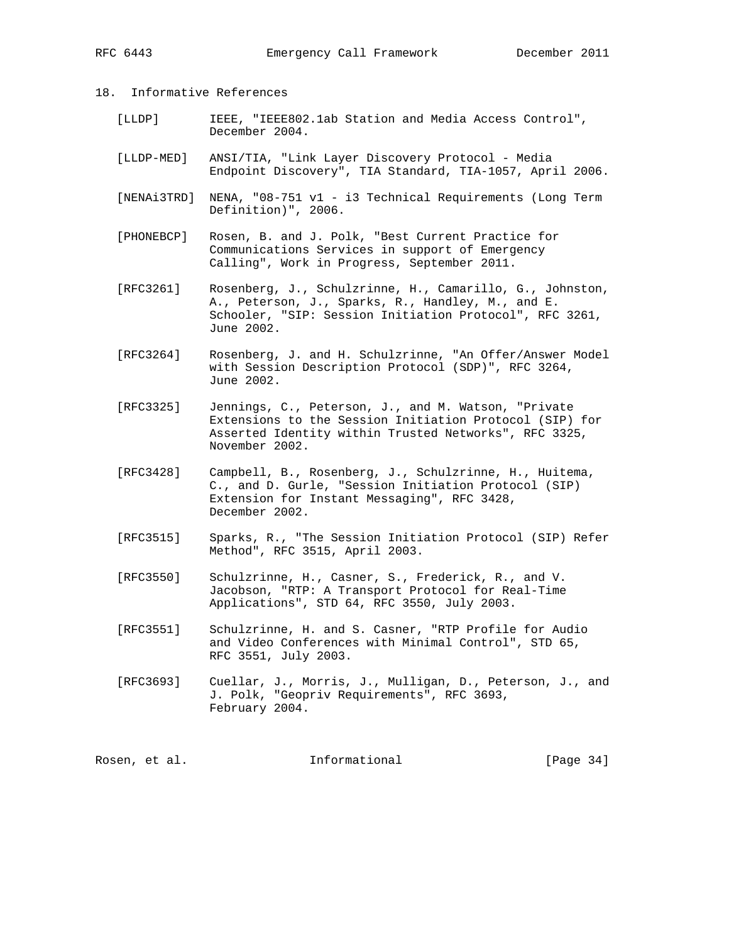# 18. Informative References

- [LLDP] IEEE, "IEEE802.1ab Station and Media Access Control", December 2004.
- [LLDP-MED] ANSI/TIA, "Link Layer Discovery Protocol Media Endpoint Discovery", TIA Standard, TIA-1057, April 2006.
- [NENAi3TRD] NENA, "08-751 v1 i3 Technical Requirements (Long Term Definition)", 2006.
- [PHONEBCP] Rosen, B. and J. Polk, "Best Current Practice for Communications Services in support of Emergency Calling", Work in Progress, September 2011.
- [RFC3261] Rosenberg, J., Schulzrinne, H., Camarillo, G., Johnston, A., Peterson, J., Sparks, R., Handley, M., and E. Schooler, "SIP: Session Initiation Protocol", RFC 3261, June 2002.
- [RFC3264] Rosenberg, J. and H. Schulzrinne, "An Offer/Answer Model with Session Description Protocol (SDP)", RFC 3264, June 2002.
- [RFC3325] Jennings, C., Peterson, J., and M. Watson, "Private Extensions to the Session Initiation Protocol (SIP) for Asserted Identity within Trusted Networks", RFC 3325, November 2002.
- [RFC3428] Campbell, B., Rosenberg, J., Schulzrinne, H., Huitema, C., and D. Gurle, "Session Initiation Protocol (SIP) Extension for Instant Messaging", RFC 3428, December 2002.
- [RFC3515] Sparks, R., "The Session Initiation Protocol (SIP) Refer Method", RFC 3515, April 2003.
- [RFC3550] Schulzrinne, H., Casner, S., Frederick, R., and V. Jacobson, "RTP: A Transport Protocol for Real-Time Applications", STD 64, RFC 3550, July 2003.
- [RFC3551] Schulzrinne, H. and S. Casner, "RTP Profile for Audio and Video Conferences with Minimal Control", STD 65, RFC 3551, July 2003.
- [RFC3693] Cuellar, J., Morris, J., Mulligan, D., Peterson, J., and J. Polk, "Geopriv Requirements", RFC 3693, February 2004.

| Rosen, et al. | Informational | [Page $34$ ] |  |
|---------------|---------------|--------------|--|
|               |               |              |  |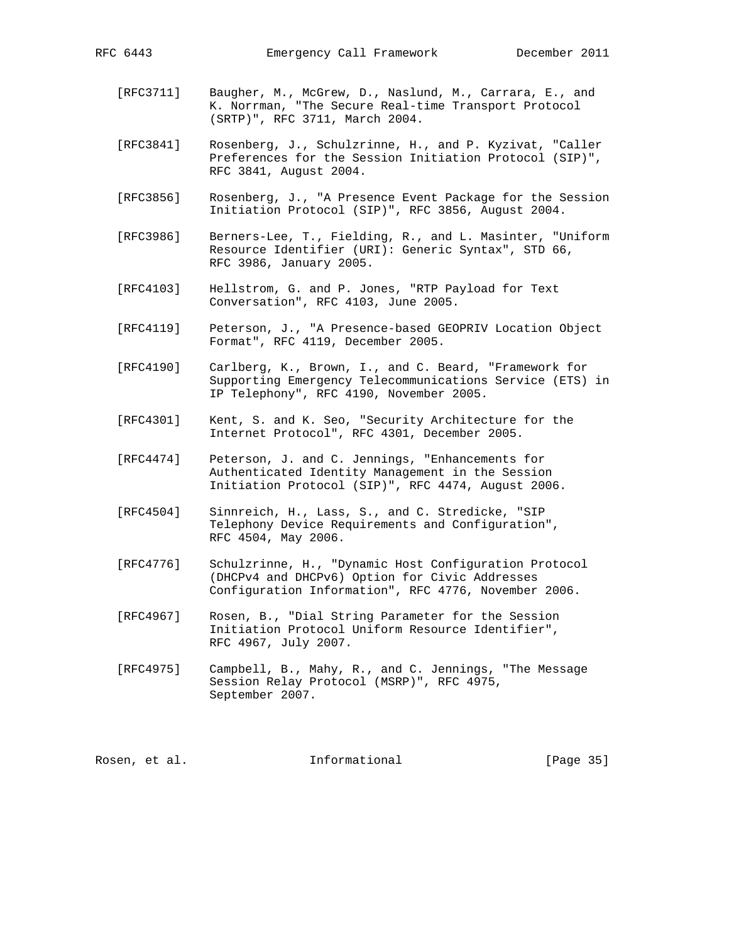- [RFC3711] Baugher, M., McGrew, D., Naslund, M., Carrara, E., and K. Norrman, "The Secure Real-time Transport Protocol (SRTP)", RFC 3711, March 2004.
- [RFC3841] Rosenberg, J., Schulzrinne, H., and P. Kyzivat, "Caller Preferences for the Session Initiation Protocol (SIP)", RFC 3841, August 2004.
- [RFC3856] Rosenberg, J., "A Presence Event Package for the Session Initiation Protocol (SIP)", RFC 3856, August 2004.
- [RFC3986] Berners-Lee, T., Fielding, R., and L. Masinter, "Uniform Resource Identifier (URI): Generic Syntax", STD 66, RFC 3986, January 2005.
- [RFC4103] Hellstrom, G. and P. Jones, "RTP Payload for Text Conversation", RFC 4103, June 2005.
- [RFC4119] Peterson, J., "A Presence-based GEOPRIV Location Object Format", RFC 4119, December 2005.
- [RFC4190] Carlberg, K., Brown, I., and C. Beard, "Framework for Supporting Emergency Telecommunications Service (ETS) in IP Telephony", RFC 4190, November 2005.
- [RFC4301] Kent, S. and K. Seo, "Security Architecture for the Internet Protocol", RFC 4301, December 2005.
- [RFC4474] Peterson, J. and C. Jennings, "Enhancements for Authenticated Identity Management in the Session Initiation Protocol (SIP)", RFC 4474, August 2006.
- [RFC4504] Sinnreich, H., Lass, S., and C. Stredicke, "SIP Telephony Device Requirements and Configuration", RFC 4504, May 2006.
- [RFC4776] Schulzrinne, H., "Dynamic Host Configuration Protocol (DHCPv4 and DHCPv6) Option for Civic Addresses Configuration Information", RFC 4776, November 2006.
- [RFC4967] Rosen, B., "Dial String Parameter for the Session Initiation Protocol Uniform Resource Identifier", RFC 4967, July 2007.
- [RFC4975] Campbell, B., Mahy, R., and C. Jennings, "The Message Session Relay Protocol (MSRP)", RFC 4975, September 2007.

Rosen, et al. 100 mm and 111 mm and 111 mm and 12 mm and 12 mm and 12 mm and 12 mm and 12 mm and 12 mm and 12 mm and 12 mm and 12 mm and 12 mm and 12 mm and 12 mm and 12 mm and 12 mm and 12 mm and 12 mm and 12 mm and 12 mm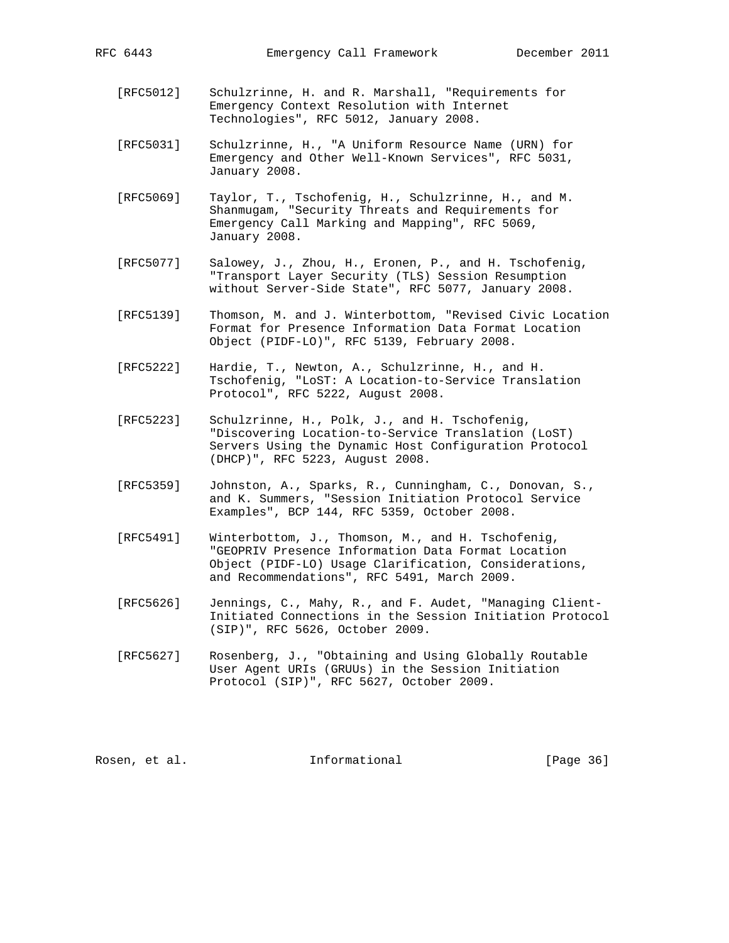- [RFC5012] Schulzrinne, H. and R. Marshall, "Requirements for Emergency Context Resolution with Internet Technologies", RFC 5012, January 2008.
- [RFC5031] Schulzrinne, H., "A Uniform Resource Name (URN) for Emergency and Other Well-Known Services", RFC 5031, January 2008.
- [RFC5069] Taylor, T., Tschofenig, H., Schulzrinne, H., and M. Shanmugam, "Security Threats and Requirements for Emergency Call Marking and Mapping", RFC 5069, January 2008.
- [RFC5077] Salowey, J., Zhou, H., Eronen, P., and H. Tschofenig, "Transport Layer Security (TLS) Session Resumption without Server-Side State", RFC 5077, January 2008.
- [RFC5139] Thomson, M. and J. Winterbottom, "Revised Civic Location Format for Presence Information Data Format Location Object (PIDF-LO)", RFC 5139, February 2008.
- [RFC5222] Hardie, T., Newton, A., Schulzrinne, H., and H. Tschofenig, "LoST: A Location-to-Service Translation Protocol", RFC 5222, August 2008.
- [RFC5223] Schulzrinne, H., Polk, J., and H. Tschofenig, "Discovering Location-to-Service Translation (LoST) Servers Using the Dynamic Host Configuration Protocol (DHCP)", RFC 5223, August 2008.
- [RFC5359] Johnston, A., Sparks, R., Cunningham, C., Donovan, S., and K. Summers, "Session Initiation Protocol Service Examples", BCP 144, RFC 5359, October 2008.
- [RFC5491] Winterbottom, J., Thomson, M., and H. Tschofenig, "GEOPRIV Presence Information Data Format Location Object (PIDF-LO) Usage Clarification, Considerations, and Recommendations", RFC 5491, March 2009.
- [RFC5626] Jennings, C., Mahy, R., and F. Audet, "Managing Client- Initiated Connections in the Session Initiation Protocol (SIP)", RFC 5626, October 2009.
- [RFC5627] Rosenberg, J., "Obtaining and Using Globally Routable User Agent URIs (GRUUs) in the Session Initiation Protocol (SIP)", RFC 5627, October 2009.

Rosen, et al. Informational [Page 36]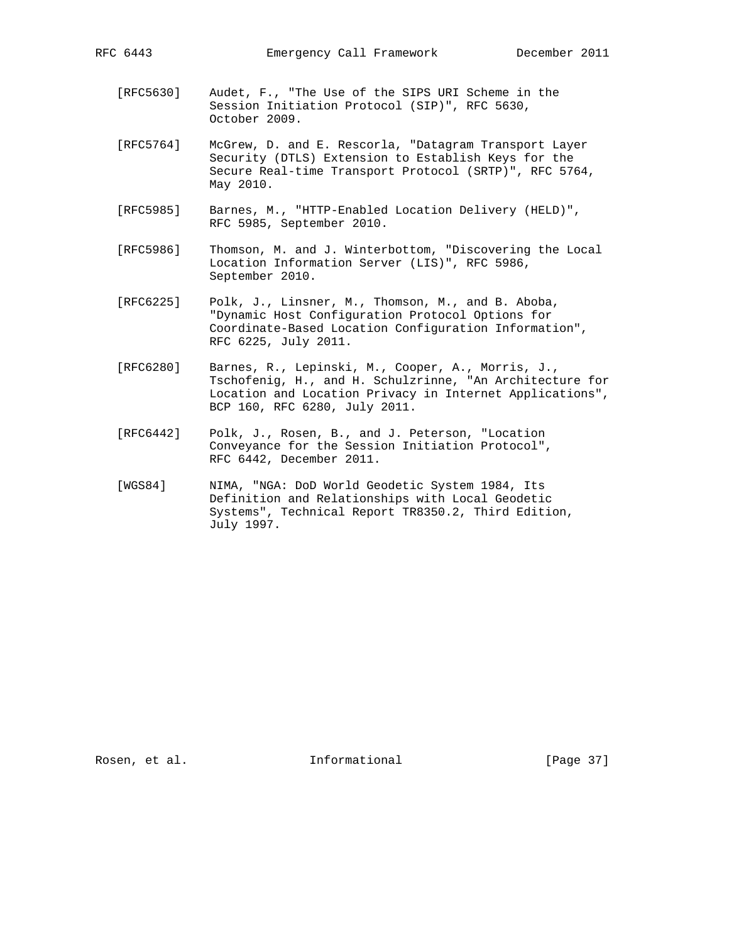- [RFC5630] Audet, F., "The Use of the SIPS URI Scheme in the Session Initiation Protocol (SIP)", RFC 5630, October 2009.
- [RFC5764] McGrew, D. and E. Rescorla, "Datagram Transport Layer Security (DTLS) Extension to Establish Keys for the Secure Real-time Transport Protocol (SRTP)", RFC 5764, May 2010.
- [RFC5985] Barnes, M., "HTTP-Enabled Location Delivery (HELD)", RFC 5985, September 2010.
- [RFC5986] Thomson, M. and J. Winterbottom, "Discovering the Local Location Information Server (LIS)", RFC 5986, September 2010.
- [RFC6225] Polk, J., Linsner, M., Thomson, M., and B. Aboba, "Dynamic Host Configuration Protocol Options for Coordinate-Based Location Configuration Information", RFC 6225, July 2011.
- [RFC6280] Barnes, R., Lepinski, M., Cooper, A., Morris, J., Tschofenig, H., and H. Schulzrinne, "An Architecture for Location and Location Privacy in Internet Applications", BCP 160, RFC 6280, July 2011.
- [RFC6442] Polk, J., Rosen, B., and J. Peterson, "Location Conveyance for the Session Initiation Protocol", RFC 6442, December 2011.
- [WGS84] NIMA, "NGA: DoD World Geodetic System 1984, Its Definition and Relationships with Local Geodetic Systems", Technical Report TR8350.2, Third Edition, July 1997.

Rosen, et al. 100 mm and 111 mm and 111 mm and 12 mm and 12 mm and 12 mm and 12 mm and 12 mm and 12 mm and 12 mm and 12 mm and 12 mm and 12 mm and 12 mm and 12 mm and 12 mm and 12 mm and 12 mm and 12 mm and 12 mm and 12 mm